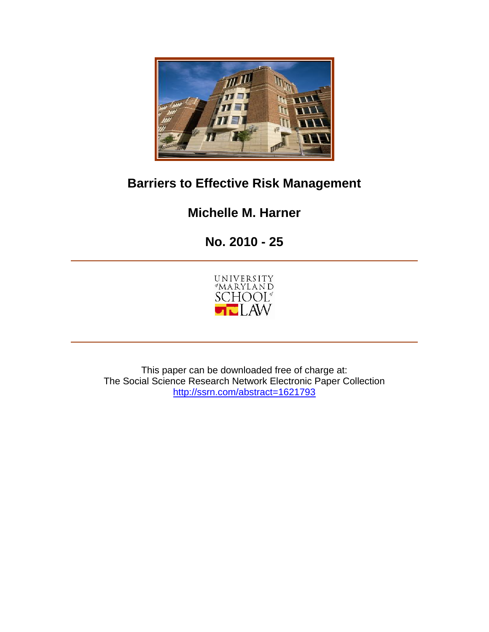

## **Barriers to Effective Risk Management**

## **Michelle M. Harner**

# **No. 2010 - 25**



This paper can be downloaded free of charge at: The Social Science Research Network Electronic Paper Collection http://ssrn.com/abstract=1621793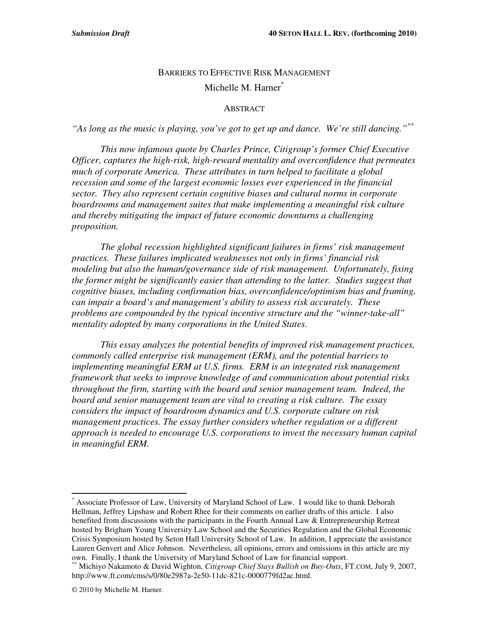## BARRIERS TO EFFECTIVE RISK MANAGEMENT Michelle M. Harner<sup>\*</sup>

#### **ABSTRACT**

*"As long as the music is playing, you've got to get up and dance. We're still dancing." \*\**

*This now infamous quote by Charles Prince, Citigroup's former Chief Executive Officer, captures the high-risk, high-reward mentality and overconfidence that permeates much of corporate America. These attributes in turn helped to facilitate a global recession and some of the largest economic losses ever experienced in the financial sector. They also represent certain cognitive biases and cultural norms in corporate boardrooms and management suites that make implementing a meaningful risk culture and thereby mitigating the impact of future economic downturns a challenging proposition.*

*The global recession highlighted significant failures in firms' risk management practices. These failures implicated weaknesses not only in firms' financial risk modeling but also the human/governance side of risk management. Unfortunately, fixing the former might be significantly easier than attending to the latter. Studies suggest that cognitive biases, including confirmation bias, overconfidence/optimism bias and framing, can impair a board's and management's ability to assess risk accurately. These problems are compounded by the typical incentive structure and the "winner-take-all" mentality adopted by many corporations in the United States.*

*This essay analyzes the potential benefits of improved risk management practices, commonly called enterprise risk management (ERM), and the potential barriers to implementing meaningful ERM at U.S. firms. ERM is an integrated risk management framework that seeks to improve knowledge of and communication about potential risks throughout the firm, starting with the board and senior management team. Indeed, the board and senior management team are vital to creating a risk culture. The essay considers the impact of boardroom dynamics and U.S. corporate culture on risk management practices. The essay further considers whether regulation or a different approach is needed to encourage U.S. corporations to invest the necessary human capital in meaningful ERM.*

<sup>\*</sup> Associate Professor of Law, University of Maryland School of Law. I would like to thank Deborah Hellman, Jeffrey Lipshaw and Robert Rhee for their comments on earlier drafts of this article. I also benefited from discussions with the participants in the Fourth Annual Law & Entrepreneurship Retreat hosted by Brigham Young University Law School and the Securities Regulation and the Global Economic Crisis Symposium hosted by Seton Hall University School of Law. In addition, I appreciate the assistance Lauren Genvert and Alice Johnson. Nevertheless, all opinions, errors and omissions in this article are my own. Finally, I thank the University of Maryland School of Law for financial support.

<sup>\*\*</sup> Michiyo Nakamoto & David Wighton, *Citigroup Chief Stays Bullish on Buy-Outs*, FT.COM, July 9, 2007, http://www.ft.com/cms/s/0/80e2987a-2e50-11dc-821c-0000779fd2ac.html.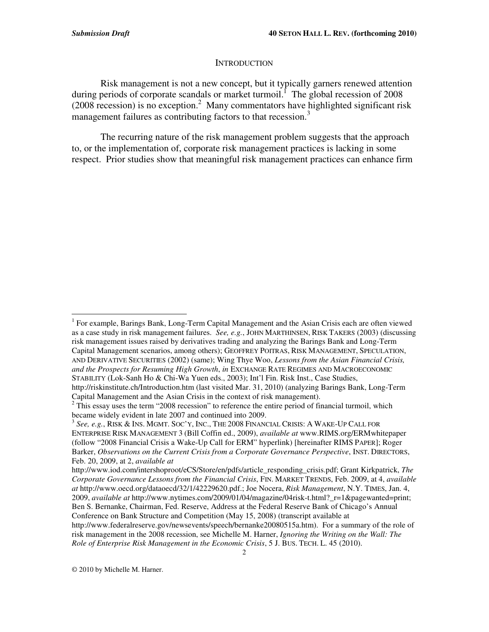#### **INTRODUCTION**

Risk management is not a new concept, but it typically garners renewed attention during periods of corporate scandals or market turmoil.<sup>1</sup> The global recession of 2008  $(2008 \text{ recession})$  is no exception.<sup>2</sup> Many commentators have highlighted significant risk management failures as contributing factors to that recession.<sup>3</sup>

The recurring nature of the risk management problem suggests that the approach to, or the implementation of, corporate risk management practices is lacking in some respect. Prior studies show that meaningful risk management practices can enhance firm

© 2010 by Michelle M. Harner.

<sup>&</sup>lt;sup>1</sup> For example, Barings Bank, Long-Term Capital Management and the Asian Crisis each are often viewed as a case study in risk management failures. *See, e.g.*, JOHN MARTHINSEN, RISK TAKERS (2003) (discussing risk management issues raised by derivatives trading and analyzing the Barings Bank and Long-Term Capital Management scenarios, among others); GEOFFREY POITRAS, RISK MANAGEMENT, SPECULATION, AND DERIVATIVE SECURITIES (2002) (same); Wing Thye Woo, *Lessons from the Asian Financial Crisis, and the Prospects for Resuming High Growth*, *in* EXCHANGE RATE REGIMES AND MACROECONOMIC STABILITY (Lok-Sanh Ho & Chi-Wa Yuen eds., 2003); Int'l Fin. Risk Inst., Case Studies,

http://riskinstitute.ch/Introduction.htm (last visited Mar. 31, 2010) (analyzing Barings Bank, Long-Term Capital Management and the Asian Crisis in the context of risk management).

 $2$  This essay uses the term "2008 recession" to reference the entire period of financial turmoil, which became widely evident in late 2007 and continued into 2009.

<sup>3</sup> *See, e.g.*, RISK & INS. MGMT. SOC'Y, INC., THE 2008 FINANCIAL CRISIS: A WAKE-UP CALL FOR ENTERPRISE RISK MANAGEMENT 3 (Bill Coffin ed., 2009), *available at* www.RIMS.org/ERMwhitepaper (follow "2008 Financial Crisis a Wake-Up Call for ERM" hyperlink) [hereinafter RIMS PAPER]; Roger Barker, *Observations on the Current Crisis from a Corporate Governance Perspective*, INST. DIRECTORS, Feb. 20, 2009, at 2, *available at*

http://www.iod.com/intershoproot/eCS/Store/en/pdfs/article\_responding\_crisis.pdf; Grant Kirkpatrick, *The Corporate Governance Lessons from the Financial Crisis*, FIN. MARKET TRENDS, Feb. 2009, at 4, *available at* http://www.oecd.org/dataoecd/32/1/42229620.pdf.; Joe Nocera, *Risk Management*, N.Y. TIMES, Jan. 4, 2009, *available at* http://www.nytimes.com/2009/01/04/magazine/04risk-t.html?\_r=1&pagewanted=print; Ben S. Bernanke, Chairman, Fed. Reserve, Address at the Federal Reserve Bank of Chicago's Annual Conference on Bank Structure and Competition (May 15, 2008) (transcript available at

http://www.federalreserve.gov/newsevents/speech/bernanke20080515a.htm). For a summary of the role of risk management in the 2008 recession, see Michelle M. Harner, *Ignoring the Writing on the Wall: The Role of Enterprise Risk Management in the Economic Crisis*, 5 J. BUS. TECH. L. 45 (2010).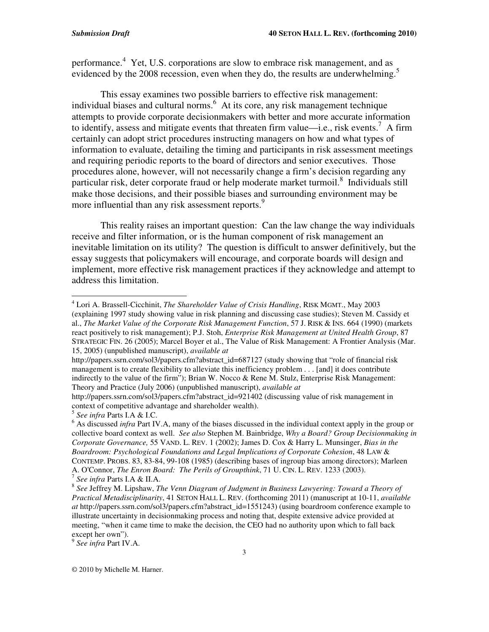performance.<sup>4</sup> Yet, U.S. corporations are slow to embrace risk management, and as evidenced by the 2008 recession, even when they do, the results are underwhelming.<sup>5</sup>

This essay examines two possible barriers to effective risk management: individual biases and cultural norms. <sup>6</sup> At its core, any risk management technique attempts to provide corporate decisionmakers with better and more accurate information to identify, assess and mitigate events that threaten firm value—i.e., risk events.<sup>7</sup> A firm certainly can adopt strict procedures instructing managers on how and what types of information to evaluate, detailing the timing and participants in risk assessment meetings and requiring periodic reports to the board of directors and senior executives. Those procedures alone, however, will not necessarily change a firm's decision regarding any particular risk, deter corporate fraud or help moderate market turmoil. 8 Individuals still make those decisions, and their possible biases and surrounding environment may be more influential than any risk assessment reports.<sup>9</sup>

This reality raises an important question: Can the law change the way individuals receive and filter information, or is the human component of risk management an inevitable limitation on its utility? The question is difficult to answer definitively, but the essay suggests that policymakers will encourage, and corporate boards will design and implement, more effective risk management practices if they acknowledge and attempt to address this limitation.

5 *See infra* Parts I.A & I.C.

7 *See infra* Parts I.A & II.A.

9 *See infra* Part IV.A.

<sup>4</sup> Lori A. Brassell-Cicchinit, *The Shareholder Value of Crisis Handling*, RISK MGMT., May 2003 (explaining 1997 study showing value in risk planning and discussing case studies); Steven M. Cassidy et al., *The Market Value of the Corporate Risk Management Function*, 57 J. RISK & INS. 664 (1990) (markets react positively to risk management); P.J. Stoh, *Enterprise Risk Management at United Health Group*, 87 STRATEGIC FIN. 26 (2005); Marcel Boyer et al., The Value of Risk Management: A Frontier Analysis (Mar. 15, 2005) (unpublished manuscript), *available at*

http://papers.ssrn.com/sol3/papers.cfm?abstract\_id=687127 (study showing that "role of financial risk management is to create flexibility to alleviate this inefficiency problem . . . [and] it does contribute indirectly to the value of the firm"); Brian W. Nocco & Rene M. Stulz, Enterprise Risk Management: Theory and Practice (July 2006) (unpublished manuscript), *available at*

http://papers.ssrn.com/sol3/papers.cfm?abstract\_id=921402 (discussing value of risk management in context of competitive advantage and shareholder wealth).

<sup>&</sup>lt;sup>6</sup> As discussed *infra* Part IV.A, many of the biases discussed in the individual context apply in the group or collective board context as well. *See also* Stephen M. Bainbridge, *Why a Board? Group Decisionmaking in Corporate Governance,* 55 VAND. L. REV. 1 (2002); James D. Cox & Harry L. Munsinger, *Bias in the Boardroom: Psychological Foundations and Legal Implications of Corporate Cohesion*, 48 LAW & CONTEMP. PROBS. 83, 83-84, 99-108 (1985) (describing bases of ingroup bias among directors); Marleen A. O'Connor, *The Enron Board: The Perils of Groupthink*, 71 U. CIN. L. REV. 1233 (2003).

<sup>8</sup> *See* Jeffrey M. Lipshaw, *The Venn Diagram of Judgment in Business Lawyering: Toward a Theory of Practical Metadisciplinarity*, 41 SETON HALL L. REV. (forthcoming 2011) (manuscript at 10-11, *available at* http://papers.ssrn.com/sol3/papers.cfm?abstract\_id=1551243) (using boardroom conference example to illustrate uncertainty in decisionmaking process and noting that, despite extensive advice provided at meeting, "when it came time to make the decision, the CEO had no authority upon which to fall back except her own").

<sup>©</sup> 2010 by Michelle M. Harner.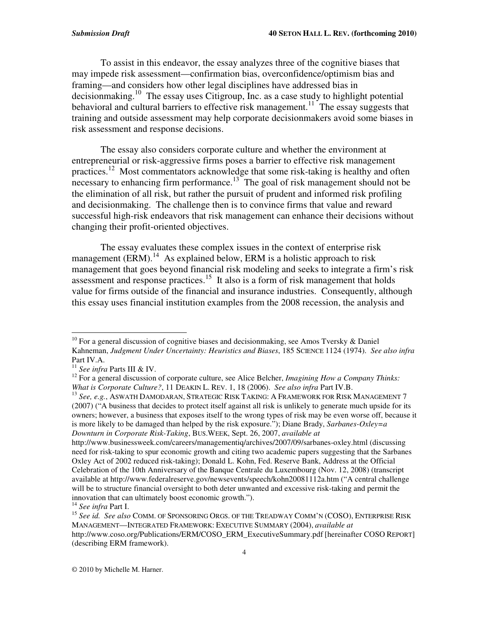To assist in this endeavor, the essay analyzes three of the cognitive biases that may impede risk assessment—confirmation bias, overconfidence/optimism bias and framing—and considers how other legal disciplines have addressed bias in decisionmaking.<sup>10</sup> The essay uses Citigroup, Inc. as a case study to highlight potential behavioral and cultural barriers to effective risk management.<sup>11</sup> The essay suggests that training and outside assessment may help corporate decisionmakers avoid some biases in risk assessment and response decisions.

The essay also considers corporate culture and whether the environment at entrepreneurial or risk-aggressive firms poses a barrier to effective risk management practices.<sup>12</sup> Most commentators acknowledge that some risk-taking is healthy and often necessary to enhancing firm performance.<sup>13</sup> The goal of risk management should not be the elimination of all risk, but rather the pursuit of prudent and informed risk profiling and decisionmaking. The challenge then is to convince firms that value and reward successful high-risk endeavors that risk management can enhance their decisions without changing their profit-oriented objectives.

The essay evaluates these complex issues in the context of enterprise risk management (ERM).<sup>14</sup> As explained below, ERM is a holistic approach to risk management that goes beyond financial risk modeling and seeks to integrate a firm's risk assessment and response practices.<sup>15</sup> It also is a form of risk management that holds value for firms outside of the financial and insurance industries. Consequently, although this essay uses financial institution examples from the 2008 recession, the analysis and

<sup>&</sup>lt;sup>10</sup> For a general discussion of cognitive biases and decisionmaking, see Amos Tversky & Daniel Kahneman, *Judgment Under Uncertainty: Heuristics and Biases*, 185 SCIENCE 1124 (1974). *See also infra* Part IV.A.

<sup>11</sup> *See infra* Parts III & IV.

<sup>12</sup> For a general discussion of corporate culture, see Alice Belcher, *Imagining How a Company Thinks: What is Corporate Culture?*, 11 DEAKIN L. REV. 1, 18 (2006). *See also infra* Part IV.B.

<sup>13</sup> *See, e.g.*, ASWATH DAMODARAN, STRATEGIC RISK TAKING: A FRAMEWORK FOR RISK MANAGEMENT 7 (2007) ("A business that decides to protect itself against all risk is unlikely to generate much upside for its owners; however, a business that exposes itself to the wrong types of risk may be even worse off, because it is more likely to be damaged than helped by the risk exposure."); Diane Brady, *Sarbanes-Oxley=a Downturn in Corporate Risk-Taking*, BUS.WEEK, Sept. 26, 2007, *available at*

http://www.businessweek.com/careers/managementiq/archives/2007/09/sarbanes-oxley.html (discussing need for risk-taking to spur economic growth and citing two academic papers suggesting that the Sarbanes Oxley Act of 2002 reduced risk-taking); Donald L. Kohn, Fed. Reserve Bank, Address at the Official Celebration of the 10th Anniversary of the Banque Centrale du Luxembourg (Nov. 12, 2008) (transcript available at http://www.federalreserve.gov/newsevents/speech/kohn20081112a.htm ("A central challenge will be to structure financial oversight to both deter unwanted and excessive risk-taking and permit the innovation that can ultimately boost economic growth.").

<sup>14</sup> *See infra* Part I.

<sup>15</sup> *See id. See also* COMM. OF SPONSORING ORGS. OF THE TREADWAY COMM'N (COSO), ENTERPRISE RISK MANAGEMENT—INTEGRATED FRAMEWORK: EXECUTIVE SUMMARY (2004), *available at* http://www.coso.org/Publications/ERM/COSO\_ERM\_ExecutiveSummary.pdf [hereinafter COSO REPORT] (describing ERM framework).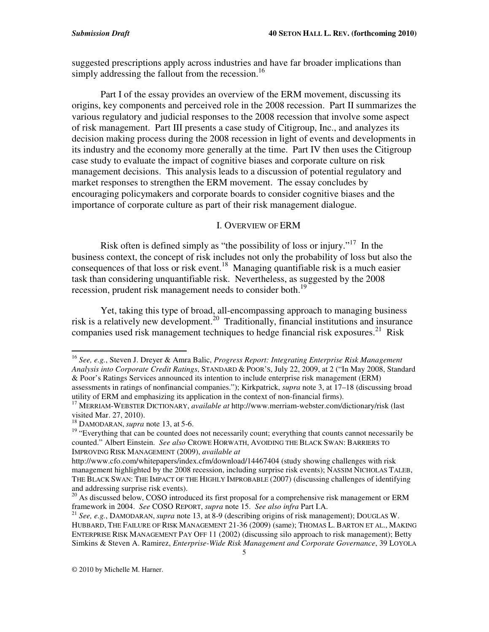suggested prescriptions apply across industries and have far broader implications than simply addressing the fallout from the recession.<sup>16</sup>

Part I of the essay provides an overview of the ERM movement, discussing its origins, key components and perceived role in the 2008 recession. Part II summarizes the various regulatory and judicial responses to the 2008 recession that involve some aspect of risk management. Part III presents a case study of Citigroup, Inc., and analyzes its decision making process during the 2008 recession in light of events and developments in its industry and the economy more generally at the time. Part IV then uses the Citigroup case study to evaluate the impact of cognitive biases and corporate culture on risk management decisions. This analysis leads to a discussion of potential regulatory and market responses to strengthen the ERM movement. The essay concludes by encouraging policymakers and corporate boards to consider cognitive biases and the importance of corporate culture as part of their risk management dialogue.

#### I. OVERVIEW OF ERM

Risk often is defined simply as "the possibility of loss or injury."<sup>17</sup> In the business context, the concept of risk includes not only the probability of loss but also the consequences of that loss or risk event.<sup>18</sup> Managing quantifiable risk is a much easier task than considering unquantifiable risk. Nevertheless, as suggested by the 2008 recession, prudent risk management needs to consider both.<sup>19</sup>

Yet, taking this type of broad, all-encompassing approach to managing business risk is a relatively new development. 20 Traditionally, financial institutions and insurance companies used risk management techniques to hedge financial risk exposures.<sup>21</sup> Risk

<sup>16</sup> *See, e.g.*, Steven J. Dreyer & Amra Balic, *Progress Report: Integrating Enterprise Risk Management Analysis into Corporate Credit Ratings*, STANDARD & POOR'S, July 22, 2009, at 2 ("In May 2008, Standard & Poor's Ratings Services announced its intention to include enterprise risk management (ERM) assessments in ratings of nonfinancial companies."); Kirkpatrick, *supra* note 3, at 17–18 (discussing broad utility of ERM and emphasizing its application in the context of non-financial firms).

<sup>17</sup> MERRIAM-WEBSTER DICTIONARY, *available at* http://www.merriam-webster.com/dictionary/risk (last visited Mar. 27, 2010).

<sup>18</sup> DAMODARAN, *supra* note 13, at 5-6.

<sup>&</sup>lt;sup>19</sup> "Everything that can be counted does not necessarily count; everything that counts cannot necessarily be counted." Albert Einstein. *See also* CROWE HORWATH, AVOIDING THE BLACK SWAN: BARRIERS TO IMPROVING RISK MANAGEMENT (2009), *available at*

http://www.cfo.com/whitepapers/index.cfm/download/14467404 (study showing challenges with risk management highlighted by the 2008 recession, including surprise risk events); NASSIM NICHOLAS TALEB, THE BLACK SWAN: THE IMPACT OF THE HIGHLY IMPROBABLE (2007) (discussing challenges of identifying and addressing surprise risk events).

<sup>&</sup>lt;sup>20</sup> As discussed below, COSO introduced its first proposal for a comprehensive risk management or ERM framework in 2004. *See* COSO REPORT, *supra* note 15. *See also infra* Part I.A.

<sup>21</sup> *See, e.g.*, DAMODARAN, *supra* note 13, at 8-9 (describing origins of risk management); DOUGLAS W. HUBBARD, THE FAILURE OF RISK MANAGEMENT 21-36 (2009) (same); THOMAS L. BARTON ET AL., MAKING ENTERPRISE RISK MANAGEMENT PAY OFF 11 (2002) (discussing silo approach to risk management); Betty Simkins & Steven A. Ramirez, *Enterprise-Wide Risk Management and Corporate Governance*, 39 LOYOLA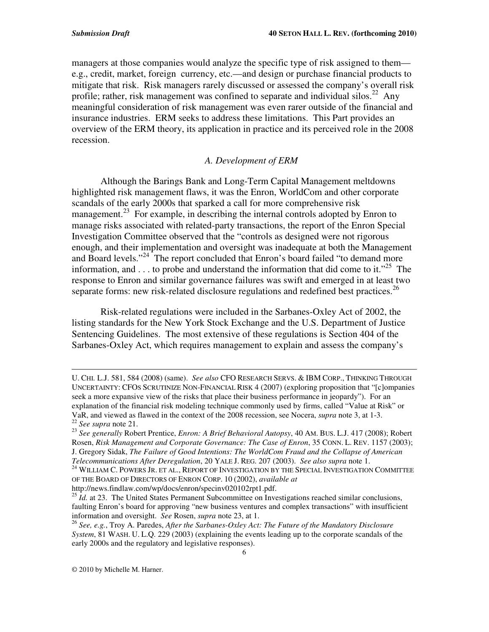managers at those companies would analyze the specific type of risk assigned to them e.g., credit, market, foreign currency, etc.—and design or purchase financial products to mitigate that risk. Risk managers rarely discussed or assessed the company's overall risk profile; rather, risk management was confined to separate and individual silos.<sup>22</sup> Any meaningful consideration of risk management was even rarer outside of the financial and insurance industries. ERM seeks to address these limitations. This Part provides an overview of the ERM theory, its application in practice and its perceived role in the 2008 recession.

### *A. Development of ERM*

Although the Barings Bank and Long-Term Capital Management meltdowns highlighted risk management flaws, it was the Enron, WorldCom and other corporate scandals of the early 2000s that sparked a call for more comprehensive risk management.<sup>23</sup> For example, in describing the internal controls adopted by Enron to manage risks associated with related-party transactions, the report of the Enron Special Investigation Committee observed that the "controls as designed were not rigorous enough, and their implementation and oversight was inadequate at both the Management and Board levels."<sup>24</sup> The report concluded that Enron's board failed "to demand more information, and . . . to probe and understand the information that did come to it."<sup>25</sup> The response to Enron and similar governance failures was swift and emerged in at least two separate forms: new risk-related disclosure regulations and redefined best practices.<sup>26</sup>

Risk-related regulations were included in the Sarbanes-Oxley Act of 2002, the listing standards for the New York Stock Exchange and the U.S. Department of Justice Sentencing Guidelines. The most extensive of these regulations is Section 404 of the Sarbanes-Oxley Act, which requires management to explain and assess the company's

<u> 1989 - Johann Stein, marwolaethau a gweledydd a ganrad y cynnwys a ganrad y ganrad y ganrad y ganrad y ganra</u>

U. CHI. L.J. 581, 584 (2008) (same). *See also* CFO RESEARCH SERVS. & IBM CORP., THINKING THROUGH UNCERTAINTY: CFOS SCRUTINIZE NON-FINANCIAL RISK 4 (2007) (exploring proposition that "[c]ompanies seek a more expansive view of the risks that place their business performance in jeopardy"). For an explanation of the financial risk modeling technique commonly used by firms, called "Value at Risk" or VaR, and viewed as flawed in the context of the 2008 recession, see Nocera, *supra* note 3, at 1-3. 22 *See supra* note 21.

<sup>23</sup> *See generally* Robert Prentice, *Enron: A Brief Behavioral Autopsy*, 40 AM. BUS. L.J. 417 (2008); Robert Rosen, *Risk Management and Corporate Governance: The Case of Enron*, 35 CONN. L. REV. 1157 (2003); J. Gregory Sidak, *The Failure of Good Intentions: The WorldCom Fraud and the Collapse of American Telecommunications After Deregulation*, 20 YALE J. REG. 207 (2003). *See also supra* note 1.

 $^{24}$  WILLIAM C. POWERS JR. ET AL., REPORT OF INVESTIGATION BY THE SPECIAL INVESTIGATION COMMITTEE OF THE BOARD OF DIRECTORS OF ENRON CORP. 10 (2002), *available at*

http://news.findlaw.com/wp/docs/enron/specinv020102rpt1.pdf.

<sup>&</sup>lt;sup>25</sup> *Id.* at 23. The United States Permanent Subcommittee on Investigations reached similar conclusions, faulting Enron's board for approving "new business ventures and complex transactions" with insufficient information and oversight. *See* Rosen, *supra* note 23, at 1.

<sup>26</sup> *See, e.g.*, Troy A. Paredes, *After the Sarbanes-Oxley Act: The Future of the Mandatory Disclosure System*, 81 WASH. U. L.Q. 229 (2003) (explaining the events leading up to the corporate scandals of the early 2000s and the regulatory and legislative responses).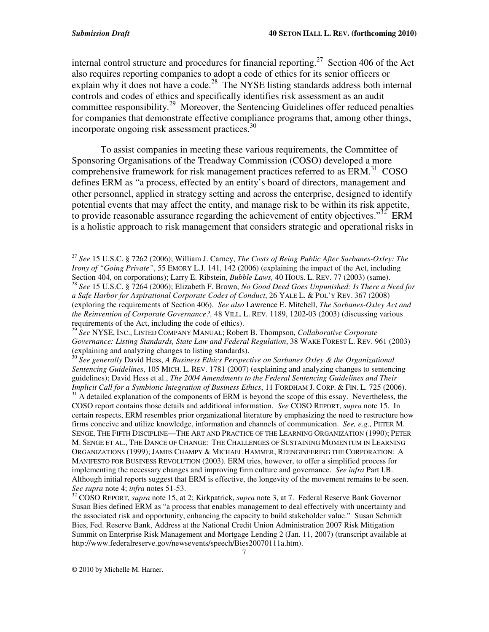internal control structure and procedures for financial reporting.<sup>27</sup> Section 406 of the Act also requires reporting companies to adopt a code of ethics for its senior officers or explain why it does not have a code.<sup>28</sup> The NYSE listing standards address both internal controls and codes of ethics and specifically identifies risk assessment as an audit committee responsibility.<sup>29</sup> Moreover, the Sentencing Guidelines offer reduced penalties for companies that demonstrate effective compliance programs that, among other things, incorporate ongoing risk assessment practices.<sup>30</sup>

To assist companies in meeting these various requirements, the Committee of Sponsoring Organisations of the Treadway Commission (COSO) developed a more comprehensive framework for risk management practices referred to as ERM.<sup>31</sup> COSO defines ERM as "a process, effected by an entity's board of directors, management and other personnel, applied in strategy setting and across the enterprise, designed to identify potential events that may affect the entity, and manage risk to be within its risk appetite, to provide reasonable assurance regarding the achievement of entity objectives."<sup>32</sup> ERM is a holistic approach to risk management that considers strategic and operational risks in

<sup>27</sup> *See* 15 U.S.C. § 7262 (2006); William J. Carney, *The Costs of Being Public After Sarbanes-Oxley: The Irony of "Going Private"*, 55 EMORY L.J. 141, 142 (2006) (explaining the impact of the Act, including Section 404, on corporations); Larry E. Ribstein, *Bubble Laws,* 40 HOUS. L. REV. 77 (2003) (same).

<sup>28</sup> *See* 15 U.S.C. § 7264 (2006); Elizabeth F. Brown, *No Good Deed Goes Unpunished: Is There a Need for a Safe Harbor for Aspirational Corporate Codes of Conduct*, 26 YALE L. & POL'Y REV. 367 (2008) (exploring the requirements of Section 406). *See also* Lawrence E. Mitchell, *The Sarbanes-Oxley Act and the Reinvention of Corporate Governance?,* 48 VILL. L. REV. 1189, 1202-03 (2003) (discussing various requirements of the Act, including the code of ethics).

<sup>29</sup> *See* NYSE, INC., LISTED COMPANY MANUAL; Robert B. Thompson, *Collaborative Corporate Governance: Listing Standards, State Law and Federal Regulation*, 38 WAKE FOREST L. REV. 961 (2003) (explaining and analyzing changes to listing standards).

<sup>30</sup> *See generally* David Hess, *A Business Ethics Perspective on Sarbanes Oxley & the Organizational Sentencing Guidelines*, 105 MICH. L. REV. 1781 (2007) (explaining and analyzing changes to sentencing guidelines); David Hess et al., *The 2004 Amendments to the Federal Sentencing Guidelines and Their Implicit Call for a Symbiotic Integration of Business Ethics*, 11 FORDHAM J. CORP. & FIN. L. 725 (2006).

<sup>&</sup>lt;sup>31</sup> A detailed explanation of the components of ERM is beyond the scope of this essay. Nevertheless, the COSO report contains those details and additional information. *See* COSO REPORT, *supra* note 15. In certain respects, ERM resembles prior organizational literature by emphasizing the need to restructure how firms conceive and utilize knowledge, information and channels of communication. *See, e.g.,* PETER M. SENGE, THE FIFTH DISCIPLINE—THE ART AND PRACTICE OF THE LEARNING ORGANIZATION (1990); PETER M. SENGE ET AL., THE DANCE OF CHANGE: THE CHALLENGES OF SUSTAINING MOMENTUM IN LEARNING ORGANIZATIONS (1999); JAMES CHAMPY & MICHAEL HAMMER, REENGINEERING THE CORPORATION: A MANIFESTO FOR BUSINESS REVOLUTION (2003). ERM tries, however, to offer a simplified process for implementing the necessary changes and improving firm culture and governance. *See infra* Part I.B. Although initial reports suggest that ERM is effective, the longevity of the movement remains to be seen. *See supra* note 4; *infra* notes 51-53.

<sup>32</sup> COSO REPORT, *supra* note 15, at 2; Kirkpatrick, *supra* note 3, at 7. Federal Reserve Bank Governor Susan Bies defined ERM as "a process that enables management to deal effectively with uncertainty and the associated risk and opportunity, enhancing the capacity to build stakeholder value." Susan Schmidt Bies, Fed. Reserve Bank, Address at the National Credit Union Administration 2007 Risk Mitigation Summit on Enterprise Risk Management and Mortgage Lending 2 (Jan. 11, 2007) (transcript available at http://www.federalreserve.gov/newsevents/speech/Bies20070111a.htm).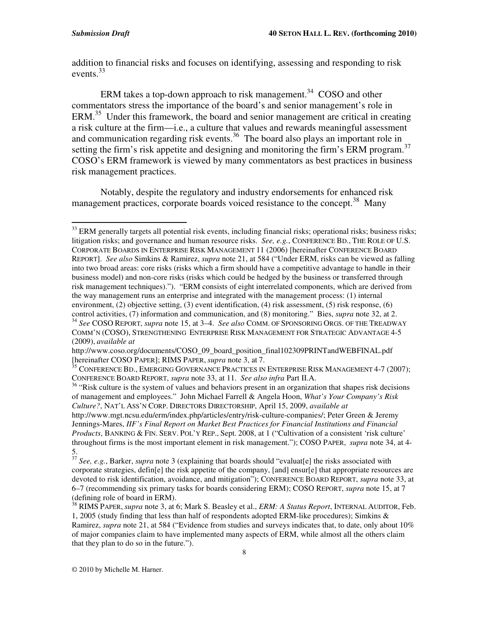addition to financial risks and focuses on identifying, assessing and responding to risk events. 33

ERM takes a top-down approach to risk management.<sup>34</sup> COSO and other commentators stress the importance of the board's and senior management's role in ERM.<sup>35</sup> Under this framework, the board and senior management are critical in creating a risk culture at the firm—i.e., a culture that values and rewards meaningful assessment and communication regarding risk events.<sup>36</sup> The board also plays an important role in setting the firm's risk appetite and designing and monitoring the firm's ERM program.<sup>37</sup> COSO's ERM framework is viewed by many commentators as best practices in business risk management practices.

Notably, despite the regulatory and industry endorsements for enhanced risk management practices, corporate boards voiced resistance to the concept.<sup>38</sup> Many

 $33$  ERM generally targets all potential risk events, including financial risks; operational risks; business risks; litigation risks; and governance and human resource risks. *See, e.g.*, CONFERENCE BD., THE ROLE OF U.S. CORPORATE BOARDS IN ENTERPRISE RISK MANAGEMENT 11 (2006) [hereinafter CONFERENCE BOARD REPORT]. *See also* Simkins & Ramirez, *supra* note 21, at 584 ("Under ERM, risks can be viewed as falling into two broad areas: core risks (risks which a firm should have a competitive advantage to handle in their business model) and non-core risks (risks which could be hedged by the business or transferred through risk management techniques)."). "ERM consists of eight interrelated components, which are derived from the way management runs an enterprise and integrated with the management process: (1) internal environment, (2) objective setting, (3) event identification, (4) risk assessment, (5) risk response, (6)

control activities, (7) information and communication, and (8) monitoring." Bies, *supra* note 32, at 2.<br><sup>34</sup> See COSO REPORT, *supra* note 15, at 3–4. See also COMM. OF SPONSORING ORGS. OF THE TREADWAY COMM'N (COSO), STRENGTHENING ENTERPRISE RISK MANAGEMENT FOR STRATEGIC ADVANTAGE 4-5 (2009), *available at*

http://www.coso.org/documents/COSO\_09\_board\_position\_final102309PRINTandWEBFINAL.pdf [hereinafter COSO PAPER]; RIMS PAPER, *supra* note 3, at 7.

 $35$  CONFERENCE BD., EMERGING GOVERNANCE PRACTICES IN ENTERPRISE RISK MANAGEMENT 4-7 (2007); CONFERENCE BOARD REPORT, *supra* note 33, at 11. *See also infra* Part II.A.

<sup>&</sup>lt;sup>36</sup> "Risk culture is the system of values and behaviors present in an organization that shapes risk decisions of management and employees." John Michael Farrell & Angela Hoon, *What's Your Company's Risk Culture?*, NAT'L ASS'N CORP. DIRECTORS DIRECTORSHIP, April 15, 2009, *available at*

http://www.mgt.ncsu.edu/erm/index.php/articles/entry/risk-culture-companies/; Peter Green & Jeremy Jennings-Mares, *IIF's Final Report on Market Best Practices for Financial Institutions and Financial Products*, BANKING & FIN. SERV. POL'Y REP., Sept. 2008, at 1 ("Cultivation of a consistent 'risk culture' throughout firms is the most important element in risk management."); COSO PAPER, *supra* note 34, at 4-

<sup>5.</sup> 37 *See, e.g.*, Barker, *supra* note 3 (explaining that boards should "evaluat[e] the risks associated with corporate strategies, defin[e] the risk appetite of the company, [and] ensur[e] that appropriate resources are devoted to risk identification, avoidance, and mitigation"); CONFERENCE BOARD REPORT, *supra* note 33, at 6–7 (recommending six primary tasks for boards considering ERM); COSO REPORT, *supra* note 15, at 7 (defining role of board in ERM).

<sup>38</sup> RIMS PAPER, *supra* note 3, at 6; Mark S. Beasley et al., *ERM: A Status Report*, INTERNAL AUDITOR, Feb. 1, 2005 (study finding that less than half of respondents adopted ERM-like procedures); Simkins & Ramirez, *supra* note 21, at 584 ("Evidence from studies and surveys indicates that, to date, only about 10% of major companies claim to have implemented many aspects of ERM, while almost all the others claim that they plan to do so in the future.").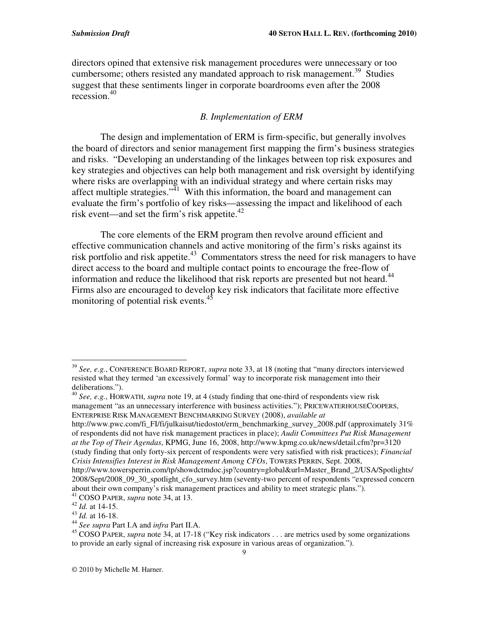directors opined that extensive risk management procedures were unnecessary or too cumbersome; others resisted any mandated approach to risk management.<sup>39</sup> Studies suggest that these sentiments linger in corporate boardrooms even after the 2008 recession. 40

#### *B. Implementation of ERM*

The design and implementation of ERM is firm-specific, but generally involves the board of directors and senior management first mapping the firm's business strategies and risks. "Developing an understanding of the linkages between top risk exposures and key strategies and objectives can help both management and risk oversight by identifying where risks are overlapping with an individual strategy and where certain risks may affect multiple strategies."<sup> $41$ </sup> With this information, the board and management can evaluate the firm's portfolio of key risks—assessing the impact and likelihood of each risk event—and set the firm's risk appetite. 42

The core elements of the ERM program then revolve around efficient and effective communication channels and active monitoring of the firm's risks against its risk portfolio and risk appetite.<sup>43</sup> Commentators stress the need for risk managers to have direct access to the board and multiple contact points to encourage the free-flow of information and reduce the likelihood that risk reports are presented but not heard.<sup>44</sup> Firms also are encouraged to develop key risk indicators that facilitate more effective monitoring of potential risk events.<sup>45</sup>

<sup>39</sup> *See, e.g.*, CONFERENCE BOARD REPORT, *supra* note 33, at 18 (noting that "many directors interviewed resisted what they termed 'an excessively formal' way to incorporate risk management into their deliberations.").

<sup>40</sup> *See, e.g.*, HORWATH, *supra* note 19, at 4 (study finding that one-third of respondents view risk management "as an unnecessary interference with business activities."); PRICEWATERHOUSECOOPERS, ENTERPRISE RISK MANAGEMENT BENCHMARKING SURVEY (2008), *available at*

http://www.pwc.com/fi\_FI/fi/julkaisut/tiedostot/erm\_benchmarking\_survey\_2008.pdf (approximately 31%) of respondents did not have risk management practices in place); *Audit Committees Put Risk Management at the Top of Their Agendas*, KPMG, June 16, 2008, http://www.kpmg.co.uk/news/detail.cfm?pr=3120 (study finding that only forty-six percent of respondents were very satisfied with risk practices); *Financial Crisis Intensifies Interest in Risk Management Among CFOs*, TOWERS PERRIN, Sept. 2008,

http://www.towersperrin.com/tp/showdctmdoc.jsp?country=global&url=Master\_Brand\_2/USA/Spotlights/ 2008/Sept/2008\_09\_30\_spotlight\_cfo\_survey.htm (seventy-two percent of respondents "expressed concern about their own company's risk management practices and ability to meet strategic plans.").

<sup>41</sup> COSO PAPER, *supra* note 34, at 13.

<sup>42</sup> *Id.* at 14-15.

<sup>43</sup> *Id.* at 16-18.

<sup>44</sup> *See supra* Part I.A and *infra* Part II.A.

<sup>&</sup>lt;sup>45</sup> COSO PAPER, *supra* note 34, at 17-18 ("Key risk indicators . . . are metrics used by some organizations to provide an early signal of increasing risk exposure in various areas of organization.").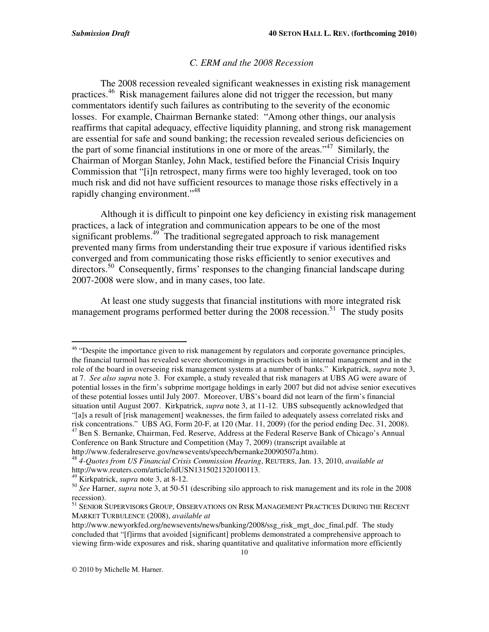#### *C. ERM and the 2008 Recession*

The 2008 recession revealed significant weaknesses in existing risk management practices. <sup>46</sup> Risk management failures alone did not trigger the recession, but many commentators identify such failures as contributing to the severity of the economic losses. For example, Chairman Bernanke stated: "Among other things, our analysis reaffirms that capital adequacy, effective liquidity planning, and strong risk management are essential for safe and sound banking; the recession revealed serious deficiencies on the part of some financial institutions in one or more of the areas."<sup>47</sup> Similarly, the Chairman of Morgan Stanley, John Mack, testified before the Financial Crisis Inquiry Commission that "[i]n retrospect, many firms were too highly leveraged, took on too much risk and did not have sufficient resources to manage those risks effectively in a rapidly changing environment."<sup>48</sup>

Although it is difficult to pinpoint one key deficiency in existing risk management practices, a lack of integration and communication appears to be one of the most significant problems.<sup>49</sup> The traditional segregated approach to risk management prevented many firms from understanding their true exposure if various identified risks converged and from communicating those risks efficiently to senior executives and directors.<sup>50</sup> Consequently, firms' responses to the changing financial landscape during 2007-2008 were slow, and in many cases, too late.

At least one study suggests that financial institutions with more integrated risk management programs performed better during the 2008 recession.<sup>51</sup> The study posits

The sum of the importance given to risk management by regulators and corporate governance principles, the financial turmoil has revealed severe shortcomings in practices both in internal management and in the role of the board in overseeing risk management systems at a number of banks." Kirkpatrick, *supra* note 3, at 7. *See also supra* note 3. For example, a study revealed that risk managers at UBS AG were aware of potential losses in the firm's subprime mortgage holdings in early 2007 but did not advise senior executives of these potential losses until July 2007. Moreover, UBS's board did not learn of the firm's financial situation until August 2007. Kirkpatrick, *supra* note 3, at 11-12. UBS subsequently acknowledged that "[a]s a result of [risk management] weaknesses, the firm failed to adequately assess correlated risks and risk concentrations." UBS AG, Form 20-F, at 120 (Mar. 11, 2009) (for the period ending Dec. 31, 2008). <sup>47</sup> Ben S. Bernanke, Chairman, Fed. Reserve, Address at the Federal Reserve Bank of Chicago's Annual Conference on Bank Structure and Competition (May 7, 2009) (transcript available at

http://www.federalreserve.gov/newsevents/speech/bernanke20090507a.htm).

<sup>48</sup> *4-Quotes from US Financial Crisis Commission Hearing*, REUTERS, Jan. 13, 2010, *available at* http://www.reuters.com/article/idUSN1315021320100113.

<sup>49</sup> Kirkpatrick, *supra* note 3, at 8-12.

<sup>50</sup> *See* Harner, *supra* note 3, at 50-51 (describing silo approach to risk management and its role in the 2008 recession).

<sup>&</sup>lt;sup>51</sup> SENIOR SUPERVISORS GROUP, OBSERVATIONS ON RISK MANAGEMENT PRACTICES DURING THE RECENT MARKET TURBULENCE (2008), *available at*

http://www.newyorkfed.org/newsevents/news/banking/2008/ssg\_risk\_mgt\_doc\_final.pdf. The study concluded that "[f]irms that avoided [significant] problems demonstrated a comprehensive approach to viewing firm-wide exposures and risk, sharing quantitative and qualitative information more efficiently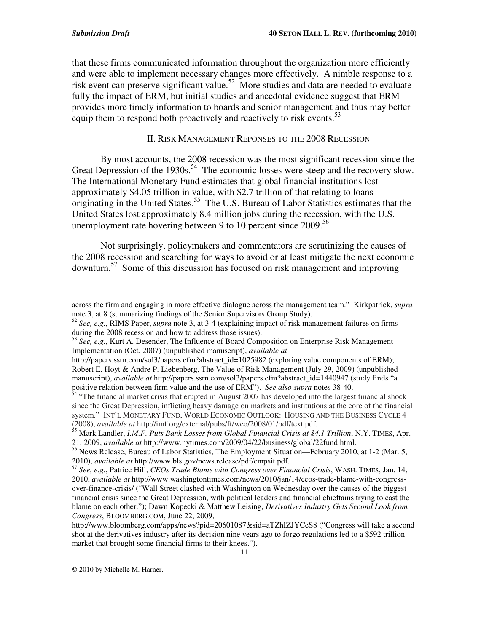that these firms communicated information throughout the organization more efficiently and were able to implement necessary changes more effectively. A nimble response to a risk event can preserve significant value. <sup>52</sup> More studies and data are needed to evaluate fully the impact of ERM, but initial studies and anecdotal evidence suggest that ERM provides more timely information to boards and senior management and thus may better equip them to respond both proactively and reactively to risk events.<sup>53</sup>

#### II. RISK MANAGEMENT REPONSES TO THE 2008 RECESSION

By most accounts, the 2008 recession was the most significant recession since the Great Depression of the 1930s.<sup>54</sup> The economic losses were steep and the recovery slow. The International Monetary Fund estimates that global financial institutions lost approximately \$4.05 trillion in value, with \$2.7 trillion of that relating to loans originating in the United States. 55 The U.S. Bureau of Labor Statistics estimates that the United States lost approximately 8.4 million jobs during the recession, with the U.S. unemployment rate hovering between 9 to 10 percent since 2009.<sup>56</sup>

Not surprisingly, policymakers and commentators are scrutinizing the causes of the 2008 recession and searching for ways to avoid or at least mitigate the next economic downturn. 57 Some of this discussion has focused on risk management and improving

<sup>&</sup>lt;u> 1989 - Johann Stein, marwolaethau a gweledydd a ganrad y cynnwys a ganrad y ganrad y ganrad y ganrad y ganra</u> across the firm and engaging in more effective dialogue across the management team." Kirkpatrick, *supra* note 3, at 8 (summarizing findings of the Senior Supervisors Group Study).

<sup>52</sup> *See, e.g.*, RIMS Paper, *supra* note 3, at 3-4 (explaining impact of risk management failures on firms

during the 2008 recession and how to address those issues). 53 *See, e.g.*, Kurt A. Desender, The Influence of Board Composition on Enterprise Risk Management Implementation (Oct. 2007) (unpublished manuscript), *available at*

http://papers.ssrn.com/sol3/papers.cfm?abstract\_id=1025982 (exploring value components of ERM); Robert E. Hoyt & Andre P. Liebenberg, The Value of Risk Management (July 29, 2009) (unpublished manuscript), *available at* http://papers.ssrn.com/sol3/papers.cfm?abstract\_id=1440947 (study finds "a

positive relation between firm value and the use of ERM"). *See also supra* notes 38-40.<br><sup>54</sup> "The financial market crisis that erupted in August 2007 has developed into the largest financial shock since the Great Depression, inflicting heavy damage on markets and institutions at the core of the financial system." INT'L MONETARY FUND, WORLD ECONOMIC OUTLOOK: HOUSING AND THE BUSINESS CYCLE 4 (2008), *available at* http://imf.org/external/pubs/ft/weo/2008/01/pdf/text.pdf.

<sup>55</sup> Mark Landler, *I.M.F. Puts Bank Losses from Global Financial Crisis at \$4.1 Trillion*, N.Y. TIMES, Apr. 21, 2009, *available at* http://www.nytimes.com/2009/04/22/business/global/22fund.html.

<sup>&</sup>lt;sup>56</sup> News Release, Bureau of Labor Statistics, The Employment Situation—February 2010, at 1-2 (Mar. 5, 2010), *available at* http://www.bls.gov/news.release/pdf/empsit.pdf.

<sup>57</sup> *See, e.g.*, Patrice Hill, *CEOs Trade Blame with Congress over Financial Crisis*, WASH. TIMES, Jan. 14, 2010, *available at* http://www.washingtontimes.com/news/2010/jan/14/ceos-trade-blame-with-congressover-finance-crisis/ ("Wall Street clashed with Washington on Wednesday over the causes of the biggest financial crisis since the Great Depression, with political leaders and financial chieftains trying to cast the blame on each other."); Dawn Kopecki & Matthew Leising, *Derivatives Industry Gets Second Look from Congress*, BLOOMBERG.COM, June 22, 2009,

http://www.bloomberg.com/apps/news?pid=20601087&sid=aTZhIZJYCeS8 ("Congress will take a second shot at the derivatives industry after its decision nine years ago to forgo regulations led to a \$592 trillion market that brought some financial firms to their knees.").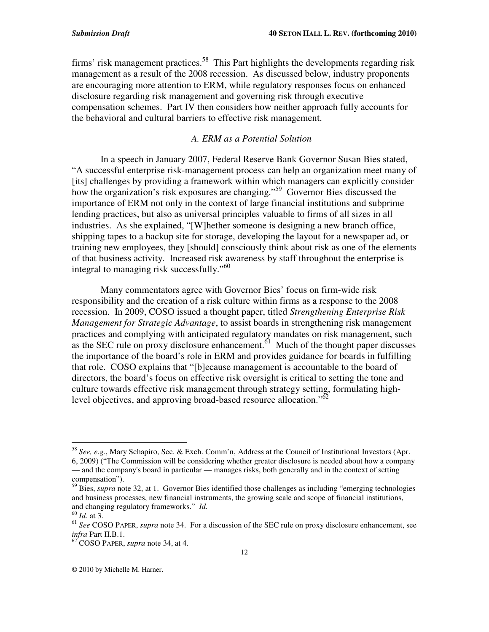firms' risk management practices.<sup>58</sup> This Part highlights the developments regarding risk management as a result of the 2008 recession. As discussed below, industry proponents are encouraging more attention to ERM, while regulatory responses focus on enhanced disclosure regarding risk management and governing risk through executive compensation schemes. Part IV then considers how neither approach fully accounts for the behavioral and cultural barriers to effective risk management.

#### *A. ERM as a Potential Solution*

In a speech in January 2007, Federal Reserve Bank Governor Susan Bies stated, "A successful enterprise risk-management process can help an organization meet many of [its] challenges by providing a framework within which managers can explicitly consider how the organization's risk exposures are changing." <sup>59</sup> Governor Bies discussed the importance of ERM not only in the context of large financial institutions and subprime lending practices, but also as universal principles valuable to firms of all sizes in all industries. As she explained, "[W]hether someone is designing a new branch office, shipping tapes to a backup site for storage, developing the layout for a newspaper ad, or training new employees, they [should] consciously think about risk as one of the elements of that business activity. Increased risk awareness by staff throughout the enterprise is integral to managing risk successfully."<sup>60</sup>

Many commentators agree with Governor Bies' focus on firm-wide risk responsibility and the creation of a risk culture within firms as a response to the 2008 recession. In 2009, COSO issued a thought paper, titled *Strengthening Enterprise Risk Management for Strategic Advantage*, to assist boards in strengthening risk management practices and complying with anticipated regulatory mandates on risk management, such as the SEC rule on proxy disclosure enhancement.<sup> $61$ </sup> Much of the thought paper discusses the importance of the board's role in ERM and provides guidance for boards in fulfilling that role. COSO explains that "[b]ecause management is accountable to the board of directors, the board's focus on effective risk oversight is critical to setting the tone and culture towards effective risk management through strategy setting, formulating highlevel objectives, and approving broad-based resource allocation."<sup>62</sup>

<sup>58</sup> *See, e.g.*, Mary Schapiro, Sec. & Exch. Comm'n, Address at the Council of Institutional Investors (Apr. 6, 2009) ("The Commission will be considering whether greater disclosure is needed about how a company — and the company's board in particular — manages risks, both generally and in the context of setting compensation").

<sup>59</sup> Bies, *supra* note 32, at 1. Governor Bies identified those challenges as including "emerging technologies and business processes, new financial instruments, the growing scale and scope of financial institutions, and changing regulatory frameworks." *Id.*

<sup>60</sup> *Id.* at 3.

<sup>61</sup> *See* COSO PAPER, *supra* note 34. For a discussion of the SEC rule on proxy disclosure enhancement, see *infra* Part II.B.1.

<sup>62</sup> COSO PAPER, *supra* note 34, at 4.

<sup>©</sup> 2010 by Michelle M. Harner.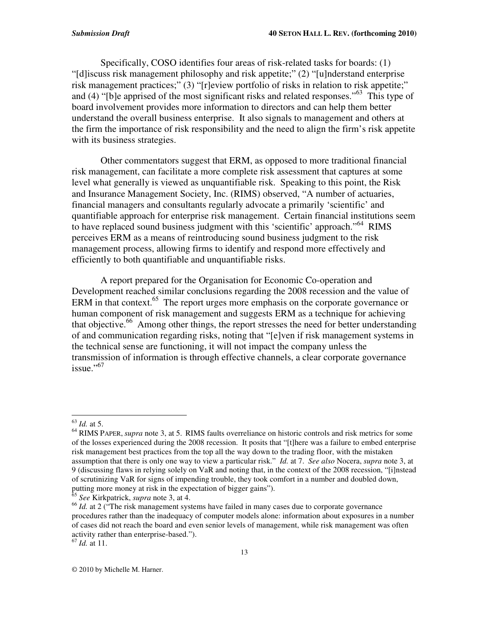Specifically, COSO identifies four areas of risk-related tasks for boards: (1) "[d]iscuss risk management philosophy and risk appetite;" (2) "[u]nderstand enterprise risk management practices;" (3) "[r]eview portfolio of risks in relation to risk appetite;" and (4) "[b]e apprised of the most significant risks and related responses."<sup>63</sup> This type of board involvement provides more information to directors and can help them better understand the overall business enterprise. It also signals to management and others at the firm the importance of risk responsibility and the need to align the firm's risk appetite with its business strategies.

Other commentators suggest that ERM, as opposed to more traditional financial risk management, can facilitate a more complete risk assessment that captures at some level what generally is viewed as unquantifiable risk. Speaking to this point, the Risk and Insurance Management Society, Inc. (RIMS) observed, "A number of actuaries, financial managers and consultants regularly advocate a primarily 'scientific' and quantifiable approach for enterprise risk management. Certain financial institutions seem to have replaced sound business judgment with this 'scientific' approach." <sup>64</sup> RIMS perceives ERM as a means of reintroducing sound business judgment to the risk management process, allowing firms to identify and respond more effectively and efficiently to both quantifiable and unquantifiable risks.

A report prepared for the Organisation for Economic Co-operation and Development reached similar conclusions regarding the 2008 recession and the value of ERM in that context.<sup>65</sup> The report urges more emphasis on the corporate governance or human component of risk management and suggests ERM as a technique for achieving that objective. <sup>66</sup> Among other things, the report stresses the need for better understanding of and communication regarding risks, noting that "[e]ven if risk management systems in the technical sense are functioning, it will not impact the company unless the transmission of information is through effective channels, a clear corporate governance issue." 67

<sup>63</sup> *Id.* at 5.

<sup>64</sup> RIMS PAPER, *supra* note 3, at 5. RIMS faults overreliance on historic controls and risk metrics for some of the losses experienced during the 2008 recession. It posits that "[t]here was a failure to embed enterprise risk management best practices from the top all the way down to the trading floor, with the mistaken assumption that there is only one way to view a particular risk." *Id.* at 7. *See also* Nocera, *supra* note 3, at 9 (discussing flaws in relying solely on VaR and noting that, in the context of the 2008 recession, "[i]nstead of scrutinizing VaR for signs of impending trouble, they took comfort in a number and doubled down, putting more money at risk in the expectation of bigger gains").

<sup>65</sup> *See* Kirkpatrick, *supra* note 3, at 4.

<sup>&</sup>lt;sup>66</sup> *Id.* at 2 ("The risk management systems have failed in many cases due to corporate governance procedures rather than the inadequacy of computer models alone: information about exposures in a number of cases did not reach the board and even senior levels of management, while risk management was often activity rather than enterprise-based.").

<sup>67</sup> *Id.* at 11.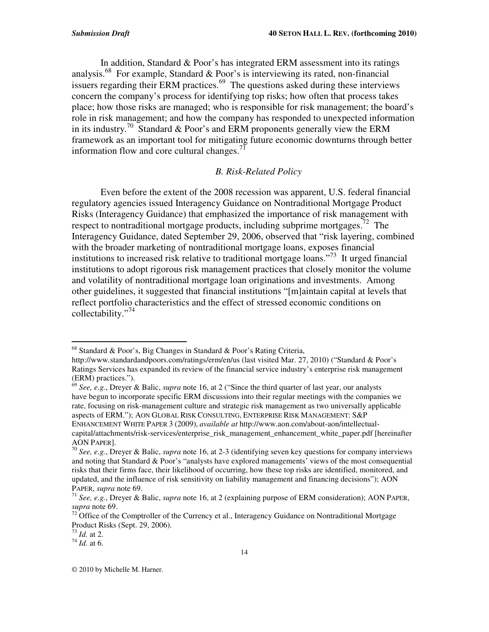In addition, Standard & Poor's has integrated ERM assessment into its ratings analysis.<sup>68</sup> For example, Standard & Poor's is interviewing its rated, non-financial issuers regarding their ERM practices.<sup>69</sup> The questions asked during these interviews concern the company's process for identifying top risks; how often that process takes place; how those risks are managed; who is responsible for risk management; the board's role in risk management; and how the company has responded to unexpected information in its industry.<sup>70</sup> Standard & Poor's and ERM proponents generally view the ERM framework as an important tool for mitigating future economic downturns through better information flow and core cultural changes.<sup>71</sup>

#### *B. Risk-Related Policy*

Even before the extent of the 2008 recession was apparent, U.S. federal financial regulatory agencies issued Interagency Guidance on Nontraditional Mortgage Product Risks (Interagency Guidance) that emphasized the importance of risk management with respect to nontraditional mortgage products, including subprime mortgages.<sup>72</sup> The Interagency Guidance, dated September 29, 2006, observed that "risk layering, combined with the broader marketing of nontraditional mortgage loans, exposes financial institutions to increased risk relative to traditional mortgage loans."<sup>73</sup> It urged financial institutions to adopt rigorous risk management practices that closely monitor the volume and volatility of nontraditional mortgage loan originations and investments. Among other guidelines, it suggested that financial institutions "[m]aintain capital at levels that reflect portfolio characteristics and the effect of stressed economic conditions on collectability." 74

68 Standard & Poor's, Big Changes in Standard & Poor's Rating Criteria,

http://www.standardandpoors.com/ratings/erm/en/us (last visited Mar. 27, 2010) ("Standard & Poor's Ratings Services has expanded its review of the financial service industry's enterprise risk management (ERM) practices.").

<sup>69</sup> *See, e.g.*, Dreyer & Balic, *supra* note 16, at 2 ("Since the third quarter of last year, our analysts have begun to incorporate specific ERM discussions into their regular meetings with the companies we rate, focusing on risk-management culture and strategic risk management as two universally applicable aspects of ERM."); AON GLOBAL RISK CONSULTING, ENTERPRISE RISK MANAGEMENT: S&P ENHANCEMENT WHITE PAPER 3 (2009), *available at* http://www.aon.com/about-aon/intellectual-

capital/attachments/risk-services/enterprise\_risk\_management\_enhancement\_white\_paper.pdf [hereinafter AON PAPER].

<sup>70</sup> *See, e.g.*, Dreyer & Balic, *supra* note 16, at 2-3 (identifying seven key questions for company interviews and noting that Standard & Poor's "analysts have explored managements' views of the most consequential risks that their firms face, their likelihood of occurring, how these top risks are identified, monitored, and updated, and the influence of risk sensitivity on liability management and financing decisions"); AON PAPER, *supra* note 69.

<sup>71</sup> *See, e.g.*, Dreyer & Balic, *supra* note 16, at 2 (explaining purpose of ERM consideration); AON PAPER, *supra* note 69.

 $72$  Office of the Comptroller of the Currency et al., Interagency Guidance on Nontraditional Mortgage Product Risks (Sept. 29, 2006).

<sup>73</sup> *Id.* at 2.

<sup>74</sup> *Id.* at 6.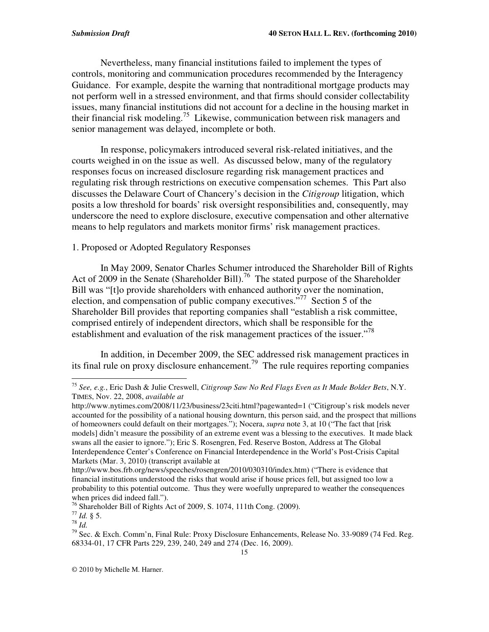Nevertheless, many financial institutions failed to implement the types of controls, monitoring and communication procedures recommended by the Interagency Guidance. For example, despite the warning that nontraditional mortgage products may not perform well in a stressed environment, and that firms should consider collectability issues, many financial institutions did not account for a decline in the housing market in their financial risk modeling.<sup>75</sup> Likewise, communication between risk managers and senior management was delayed, incomplete or both.

In response, policymakers introduced several risk-related initiatives, and the courts weighed in on the issue as well. As discussed below, many of the regulatory responses focus on increased disclosure regarding risk management practices and regulating risk through restrictions on executive compensation schemes. This Part also discusses the Delaware Court of Chancery's decision in the *Citigroup* litigation, which posits a low threshold for boards' risk oversight responsibilities and, consequently, may underscore the need to explore disclosure, executive compensation and other alternative means to help regulators and markets monitor firms' risk management practices.

#### 1. Proposed or Adopted Regulatory Responses

In May 2009, Senator Charles Schumer introduced the Shareholder Bill of Rights Act of 2009 in the Senate (Shareholder Bill).<sup>76</sup> The stated purpose of the Shareholder Bill was "[t]o provide shareholders with enhanced authority over the nomination, election, and compensation of public company executives."<sup>77</sup> Section 5 of the Shareholder Bill provides that reporting companies shall "establish a risk committee, comprised entirely of independent directors, which shall be responsible for the establishment and evaluation of the risk management practices of the issuer."<sup>78</sup>

In addition, in December 2009, the SEC addressed risk management practices in its final rule on proxy disclosure enhancement.<sup>79</sup> The rule requires reporting companies

75 *See, e.g.*, Eric Dash & Julie Creswell, *Citigroup Saw No Red Flags Even as It Made Bolder Bets*, N.Y. TIMES, Nov. 22, 2008, *available at*

http://www.nytimes.com/2008/11/23/business/23citi.html?pagewanted=1 ("Citigroup's risk models never accounted for the possibility of a national housing downturn, this person said, and the prospect that millions of homeowners could default on their mortgages."); Nocera, *supra* note 3, at 10 ("The fact that [risk models] didn't measure the possibility of an extreme event was a blessing to the executives. It made black swans all the easier to ignore."); Eric S. Rosengren, Fed. Reserve Boston, Address at The Global Interdependence Center's Conference on Financial Interdependence in the World's Post-Crisis Capital Markets (Mar. 3, 2010) (transcript available at

http://www.bos.frb.org/news/speeches/rosengren/2010/030310/index.htm) ("There is evidence that financial institutions understood the risks that would arise if house prices fell, but assigned too low a probability to this potential outcome. Thus they were woefully unprepared to weather the consequences when prices did indeed fall.").

<sup>&</sup>lt;sup>76</sup> Shareholder Bill of Rights Act of 2009, S. 1074, 111th Cong. (2009).

<sup>77</sup> *Id.* § 5.

<sup>78</sup> *Id.*

<sup>&</sup>lt;sup>79</sup> Sec. & Exch. Comm'n, Final Rule: Proxy Disclosure Enhancements, Release No. 33-9089 (74 Fed. Reg. 68334-01, 17 CFR Parts 229, 239, 240, 249 and 274 (Dec. 16, 2009).

<sup>©</sup> 2010 by Michelle M. Harner.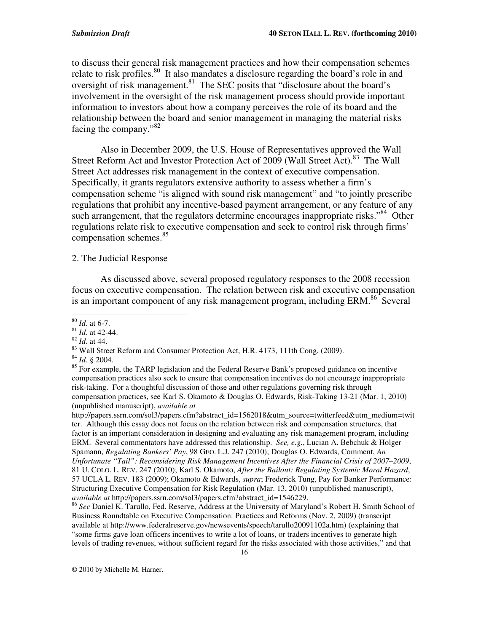to discuss their general risk management practices and how their compensation schemes relate to risk profiles.<sup>80</sup> It also mandates a disclosure regarding the board's role in and oversight of risk management.<sup>81</sup> The SEC posits that "disclosure about the board's involvement in the oversight of the risk management process should provide important information to investors about how a company perceives the role of its board and the relationship between the board and senior management in managing the material risks facing the company."<sup>82</sup>

Also in December 2009, the U.S. House of Representatives approved the Wall Street Reform Act and Investor Protection Act of 2009 (Wall Street Act).<sup>83</sup> The Wall Street Act addresses risk management in the context of executive compensation. Specifically, it grants regulators extensive authority to assess whether a firm's compensation scheme "is aligned with sound risk management" and "to jointly prescribe regulations that prohibit any incentive-based payment arrangement, or any feature of any such arrangement, that the regulators determine encourages inappropriate risks."<sup>84</sup> Other regulations relate risk to executive compensation and seek to control risk through firms' compensation schemes. 85

#### 2. The Judicial Response

As discussed above, several proposed regulatory responses to the 2008 recession focus on executive compensation. The relation between risk and executive compensation is an important component of any risk management program, including ERM.<sup>86</sup> Several

82 *Id.* at 44.

84 *Id.* § 2004.

http://papers.ssrn.com/sol3/papers.cfm?abstract\_id=1562018&utm\_source=twitterfeed&utm\_medium=twit ter. Although this essay does not focus on the relation between risk and compensation structures, that factor is an important consideration in designing and evaluating any risk management program, including ERM. Several commentators have addressed this relationship. *See, e.g.*, Lucian A. Bebchuk & Holger Spamann, *Regulating Bankers' Pay*, 98 GEO. L.J. 247 (2010); Douglas O. Edwards, Comment, *An Unfortunate "Tail": Reconsidering Risk Management Incentives After the Financial Crisis of 2007–2009*, 81 U. COLO. L. REV. 247 (2010); Karl S. Okamoto, *After the Bailout: Regulating Systemic Moral Hazard*, 57 UCLA L. REV. 183 (2009); Okamoto & Edwards, *supra*; Frederick Tung, Pay for Banker Performance: Structuring Executive Compensation for Risk Regulation (Mar. 13, 2010) (unpublished manuscript), *available at* http://papers.ssrn.com/sol3/papers.cfm?abstract\_id=1546229.

86 *See* Daniel K. Tarullo, Fed. Reserve, Address at the University of Maryland's Robert H. Smith School of Business Roundtable on Executive Compensation: Practices and Reforms (Nov. 2, 2009) (transcript available at http://www.federalreserve.gov/newsevents/speech/tarullo20091102a.htm) (explaining that "some firms gave loan officers incentives to write a lot of loans, or traders incentives to generate high levels of trading revenues, without sufficient regard for the risks associated with those activities," and that

80 *Id.* at 6-7.

<sup>81</sup> *Id.* at 42-44.

<sup>&</sup>lt;sup>83</sup> Wall Street Reform and Consumer Protection Act, H.R. 4173, 111th Cong. (2009).

<sup>&</sup>lt;sup>85</sup> For example, the TARP legislation and the Federal Reserve Bank's proposed guidance on incentive compensation practices also seek to ensure that compensation incentives do not encourage inappropriate risk-taking. For a thoughtful discussion of those and other regulations governing risk through compensation practices, see Karl S. Okamoto & Douglas O. Edwards, Risk-Taking 13-21 (Mar. 1, 2010) (unpublished manuscript), *available at*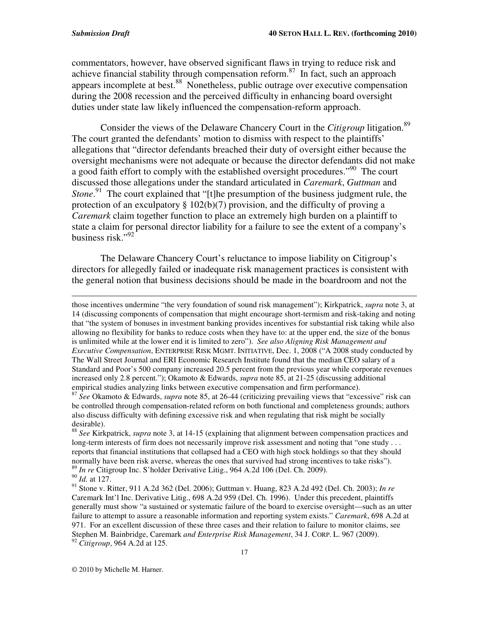commentators, however, have observed significant flaws in trying to reduce risk and achieve financial stability through compensation reform.<sup>87</sup> In fact, such an approach appears incomplete at best.<sup>88</sup> Nonetheless, public outrage over executive compensation during the 2008 recession and the perceived difficulty in enhancing board oversight duties under state law likely influenced the compensation-reform approach.

Consider the views of the Delaware Chancery Court in the *Citigroup* litigation. 89 The court granted the defendants' motion to dismiss with respect to the plaintiffs' allegations that "director defendants breached their duty of oversight either because the oversight mechanisms were not adequate or because the director defendants did not make a good faith effort to comply with the established oversight procedures."<sup>90</sup> The court discussed those allegations under the standard articulated in *Caremark*, *Guttman* and Stone.<sup>91</sup> The court explained that "[t]he presumption of the business judgment rule, the protection of an exculpatory  $\S 102(b)(7)$  provision, and the difficulty of proving a *Caremark* claim together function to place an extremely high burden on a plaintiff to state a claim for personal director liability for a failure to see the extent of a company's business risk."<sup>92</sup>

The Delaware Chancery Court's reluctance to impose liability on Citigroup's directors for allegedly failed or inadequate risk management practices is consistent with the general notion that business decisions should be made in the boardroom and not the

<u> 1989 - Johann Stein, marwolaethau a gweledydd a ganrad y cynnwys a ganrad y ganrad y ganrad y ganrad y ganra</u>

those incentives undermine "the very foundation of sound risk management"); Kirkpatrick, *supra* note 3, at 14 (discussing components of compensation that might encourage short-termism and risk-taking and noting that "the system of bonuses in investment banking provides incentives for substantial risk taking while also allowing no flexibility for banks to reduce costs when they have to: at the upper end, the size of the bonus is unlimited while at the lower end it is limited to zero"). *See also Aligning Risk Management and Executive Compensation*, ENTERPRISE RISK MGMT. INITIATIVE, Dec. 1, 2008 ("A 2008 study conducted by The Wall Street Journal and ERI Economic Research Institute found that the median CEO salary of a Standard and Poor's 500 company increased 20.5 percent from the previous year while corporate revenues increased only 2.8 percent."); Okamoto & Edwards, *supra* note 85, at 21-25 (discussing additional empirical studies analyzing links between executive compensation and firm performance).

87 *See* Okamoto & Edwards, *supra* note 85, at 26-44 (criticizing prevailing views that "excessive" risk can be controlled through compensation-related reform on both functional and completeness grounds; authors also discuss difficulty with defining excessive risk and when regulating that risk might be socially desirable).

88 *See* Kirkpatrick, *supra* note 3, at 14-15 (explaining that alignment between compensation practices and long-term interests of firm does not necessarily improve risk assessment and noting that "one study . . . reports that financial institutions that collapsed had a CEO with high stock holdings so that they should normally have been risk averse, whereas the ones that survived had strong incentives to take risks"). 89 *In re* Citigroup Inc. S'holder Derivative Litig., 964 A.2d 106 (Del. Ch. 2009).

90 *Id.* at 127.

<sup>91</sup> Stone v. Ritter, 911 A.2d 362 (Del. 2006); Guttman v. Huang, 823 A.2d 492 (Del. Ch. 2003); *In re* Caremark Int'l Inc. Derivative Litig., 698 A.2d 959 (Del. Ch. 1996). Under this precedent, plaintiffs generally must show "a sustained or systematic failure of the board to exercise oversight—such as an utter failure to attempt to assure a reasonable information and reporting system exists." *Caremark*, 698 A.2d at 971. For an excellent discussion of these three cases and their relation to failure to monitor claims, see Stephen M. Bainbridge, Caremark *and Enterprise Risk Management*, 34 J. CORP. L. 967 (2009). <sup>92</sup> *Citigroup*, 964 A.2d at 125.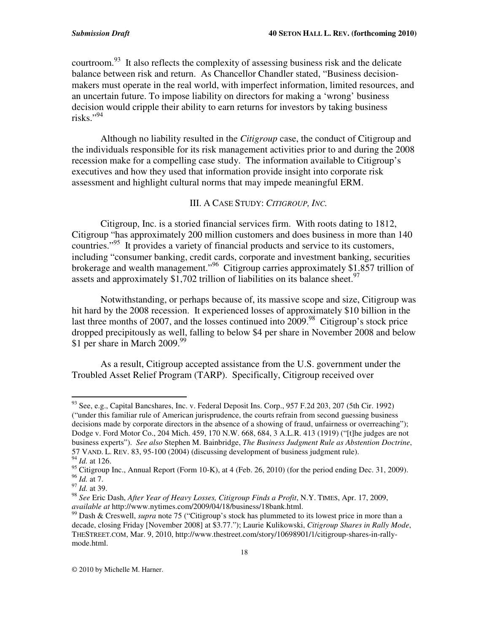courtroom.<sup>93</sup> It also reflects the complexity of assessing business risk and the delicate balance between risk and return. As Chancellor Chandler stated, "Business decisionmakers must operate in the real world, with imperfect information, limited resources, and an uncertain future. To impose liability on directors for making a 'wrong' business decision would cripple their ability to earn returns for investors by taking business risks." 94

Although no liability resulted in the *Citigroup* case, the conduct of Citigroup and the individuals responsible for its risk management activities prior to and during the 2008 recession make for a compelling case study. The information available to Citigroup's executives and how they used that information provide insight into corporate risk assessment and highlight cultural norms that may impede meaningful ERM.

#### III. A CASE STUDY: *CITIGROUP, INC.*

Citigroup, Inc. is a storied financial services firm. With roots dating to 1812, Citigroup "has approximately 200 million customers and does business in more than 140 countries." 95 It provides a variety of financial products and service to its customers, including "consumer banking, credit cards, corporate and investment banking, securities brokerage and wealth management."<sup>96</sup> Citigroup carries approximately \$1.857 trillion of assets and approximately \$1,702 trillion of liabilities on its balance sheet.<sup>97</sup>

Notwithstanding, or perhaps because of, its massive scope and size, Citigroup was hit hard by the 2008 recession. It experienced losses of approximately \$10 billion in the last three months of 2007, and the losses continued into 2009.<sup>98</sup> Citigroup's stock price dropped precipitously as well, falling to below \$4 per share in November 2008 and below \$1 per share in March 2009.<sup>99</sup>

As a result, Citigroup accepted assistance from the U.S. government under the Troubled Asset Relief Program (TARP). Specifically, Citigroup received over

<sup>93</sup> See, e.g., Capital Bancshares, Inc. v. Federal Deposit Ins. Corp., 957 F.2d 203, 207 (5th Cir. 1992) ("under this familiar rule of American jurisprudence, the courts refrain from second guessing business decisions made by corporate directors in the absence of a showing of fraud, unfairness or overreaching"); Dodge v. Ford Motor Co., 204 Mich. 459, 170 N.W. 668, 684, 3 A.L.R. 413 (1919) ("[t]he judges are not business experts"). *See also* Stephen M. Bainbridge, *The Business Judgment Rule as Abstention Doctrine*, 57 VAND. L. REV. 83, 95-100 (2004) (discussing development of business judgment rule). 94 *Id.* at 126.

 $95$  Citigroup Inc., Annual Report (Form 10-K), at 4 (Feb. 26, 2010) (for the period ending Dec. 31, 2009).

<sup>96</sup> *Id.* at 7.

<sup>97</sup> *Id.* at 39.

<sup>98</sup> *See* Eric Dash, *After Year of Heavy Losses, Citigroup Finds a Profit*, N.Y. TIMES, Apr. 17, 2009, *available at* http://www.nytimes.com/2009/04/18/business/18bank.html.

<sup>99</sup> Dash & Creswell, *supra* note 75 ("Citigroup's stock has plummeted to its lowest price in more than a decade, closing Friday [November 2008] at \$3.77."); Laurie Kulikowski, *Citigroup Shares in Rally Mode*, THESTREET.COM, Mar. 9, 2010, http://www.thestreet.com/story/10698901/1/citigroup-shares-in-rallymode.html.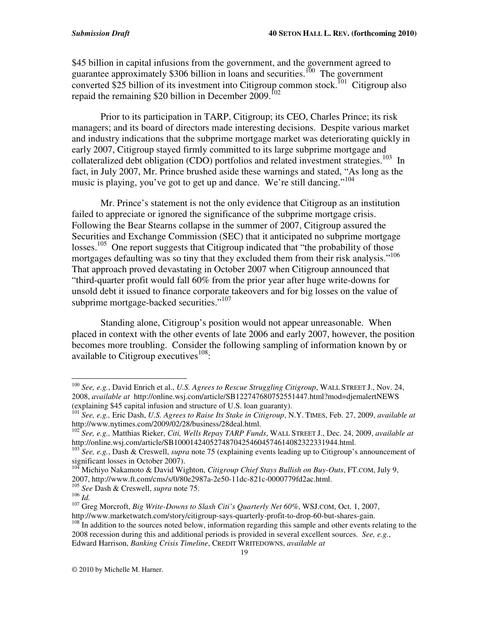\$45 billion in capital infusions from the government, and the government agreed to guarantee approximately \$306 billion in loans and securities.<sup>100</sup> The government converted \$25 billion of its investment into Citigroup common stock.<sup> $I01$ </sup> Citigroup also repaid the remaining \$20 billion in December 2009.<sup>102</sup>

Prior to its participation in TARP, Citigroup; its CEO, Charles Prince; its risk managers; and its board of directors made interesting decisions. Despite various market and industry indications that the subprime mortgage market was deteriorating quickly in early 2007, Citigroup stayed firmly committed to its large subprime mortgage and collateralized debt obligation (CDO) portfolios and related investment strategies.<sup>103</sup> In fact, in July 2007, Mr. Prince brushed aside these warnings and stated, "As long as the music is playing, you've got to get up and dance. We're still dancing."<sup>104</sup>

Mr. Prince's statement is not the only evidence that Citigroup as an institution failed to appreciate or ignored the significance of the subprime mortgage crisis. Following the Bear Stearns collapse in the summer of 2007, Citigroup assured the Securities and Exchange Commission (SEC) that it anticipated no subprime mortgage losses.<sup>105</sup> One report suggests that Citigroup indicated that "the probability of those mortgages defaulting was so tiny that they excluded them from their risk analysis."<sup>106</sup> That approach proved devastating in October 2007 when Citigroup announced that "third-quarter profit would fall 60% from the prior year after huge write-downs for unsold debt it issued to finance corporate takeovers and for big losses on the value of subprime mortgage-backed securities."<sup>107</sup>

Standing alone, Citigroup's position would not appear unreasonable. When placed in context with the other events of late 2006 and early 2007, however, the position becomes more troubling. Consider the following sampling of information known by or available to Citigroup executives<sup>108</sup>:

http://www.marketwatch.com/story/citigroup-says-quarterly-profit-to-drop-60-but-shares-gain.

<sup>100</sup> *See, e.g.*, David Enrich et al., *U.S. Agrees to Rescue Struggling Citigroup*, WALL STREET J., Nov. 24, 2008, *available at* http://online.wsj.com/article/SB122747680752551447.html?mod=djemalertNEWS (explaining \$45 capital infusion and structure of U.S. loan guaranty).

<sup>101</sup> *See, e.g.,* Eric Dash, *U.S. Agrees to Raise Its Stake in Citigroup*, N.Y. TIMES, Feb. 27, 2009, *available at* http://www.nytimes.com/2009/02/28/business/28deal.html.

<sup>102</sup> *See, e.g.,* Matthias Rieker, *Citi, Wells Repay TARP Funds*, WALL STREET J., Dec. 24, 2009, *available at*

http://online.wsj.com/article/SB10001424052748704254604574614082322331944.html. 103 *See, e.g.*, Dash & Creswell, *supra* note 75 (explaining events leading up to Citigroup's announcement of significant losses in October 2007).

<sup>104</sup> Michiyo Nakamoto & David Wighton, *Citigroup Chief Stays Bullish on Buy-Outs*, FT.COM, July 9,

<sup>2007,</sup> http://www.ft.com/cms/s/0/80e2987a-2e50-11dc-821c-0000779fd2ac.html. 105 *See* Dash & Creswell, *supra* note 75.

<sup>106</sup> *Id.*

<sup>107</sup> Greg Morcroft, *Big Write-Downs to Slash Citi's Quarterly Net 60%*, WSJ.COM, Oct. 1, 2007,

<sup>&</sup>lt;sup>108</sup> In addition to the sources noted below, information regarding this sample and other events relating to the 2008 recession during this and additional periods is provided in several excellent sources. *See, e.g.*, Edward Harrison, *Banking Crisis Timeline*, CREDIT WRITEDOWNS, *available at*

<sup>©</sup> 2010 by Michelle M. Harner.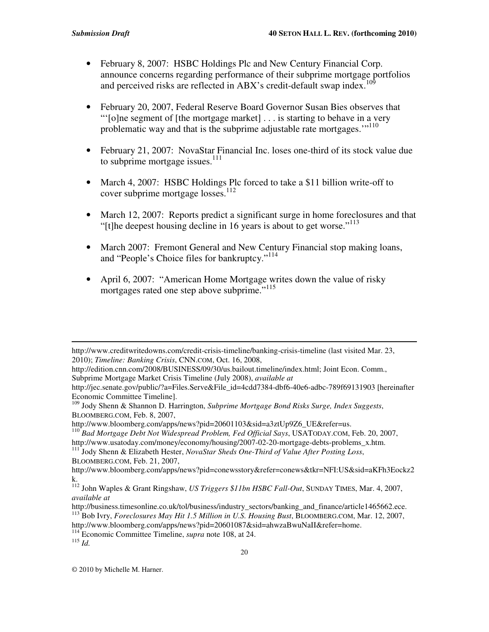- February 8, 2007: HSBC Holdings Plc and New Century Financial Corp. announce concerns regarding performance of their subprime mortgage portfolios and perceived risks are reflected in ABX's credit-default swap index.<sup>109</sup>
- February 20, 2007, Federal Reserve Board Governor Susan Bies observes that "'[o]ne segment of [the mortgage market] . . . is starting to behave in a very problematic way and that is the subprime adjustable rate mortgages."<sup>110</sup>
- February 21, 2007: NovaStar Financial Inc. loses one-third of its stock value due to subprime mortgage issues.<sup>111</sup>
- March 4, 2007: HSBC Holdings Plc forced to take a \$11 billion write-off to cover subprime mortgage losses.<sup>112</sup>
- March 12, 2007: Reports predict a significant surge in home foreclosures and that "[t]he deepest housing decline in 16 years is about to get worse."<sup>113</sup>
- March 2007: Fremont General and New Century Financial stop making loans, and "People's Choice files for bankruptcy."<sup>114</sup>
- April 6, 2007: "American Home Mortgage writes down the value of risky mortgages rated one step above subprime."<sup>115</sup>

<u> 1989 - Johann Stein, marwolaethau a gweledydd a ganrad y cynnwys a ganrad y ganrad y ganrad y ganrad y ganra</u>

<sup>110</sup> *Bad Mortgage Debt Not Widespread Problem, Fed Official Says*, USATODAY.COM, Feb. 20, 2007,

http://www.usatoday.com/money/economy/housing/2007-02-20-mortgage-debts-problems\_x.htm.<br><sup>111</sup> Jody Shenn & Elizabeth Hester, *NovaStar Sheds One-Third of Value After Posting Loss*, BLOOMBERG.COM, Feb. 21, 2007,

http://www.creditwritedowns.com/credit-crisis-timeline/banking-crisis-timeline (last visited Mar. 23, 2010); *Timeline: Banking Crisis*, CNN.COM, Oct. 16, 2008,

http://edition.cnn.com/2008/BUSINESS/09/30/us.bailout.timeline/index.html; Joint Econ. Comm., Subprime Mortgage Market Crisis Timeline (July 2008), *available at*

http://jec.senate.gov/public/?a=Files.Serve&File\_id=4cdd7384-dbf6-40e6-adbc-789f69131903 [hereinafter Economic Committee Timeline].

<sup>109</sup> Jody Shenn & Shannon D. Harrington, *Subprime Mortgage Bond Risks Surge, Index Suggests*, BLOOMBERG.COM, Feb. 8, 2007,

http://www.bloomberg.com/apps/news?pid=20601103&sid=a3ztUp9Z6\_UE&refer=us.

http://www.bloomberg.com/apps/news?pid=conewsstory&refer=conews&tkr=NFI:US&sid=aKFh3Eockz2

k. 112 John Waples & Grant Ringshaw, *US Triggers \$11bn HSBC Fall-Out*, SUNDAY TIMES, Mar. 4, 2007, *available at*

http://business.timesonline.co.uk/tol/business/industry\_sectors/banking\_and\_finance/article1465662.ece. <sup>113</sup> Bob Ivry, *Foreclosures May Hit 1.5 Million in U.S. Housing Bust*, BLOOMBERG.COM, Mar. 12, 2007,

http://www.bloomberg.com/apps/news?pid=20601087&sid=ahwzaBwuNaII&refer=home.

<sup>114</sup> Economic Committee Timeline, *supra* note 108, at 24.

<sup>115</sup> *Id.*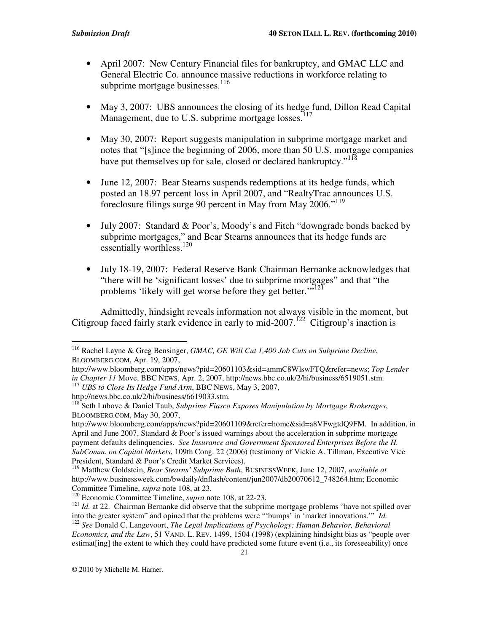- April 2007: New Century Financial files for bankruptcy, and GMAC LLC and General Electric Co. announce massive reductions in workforce relating to subprime mortgage businesses.<sup>116</sup>
- May 3, 2007: UBS announces the closing of its hedge fund, Dillon Read Capital Management, due to U.S. subprime mortgage losses.<sup>117</sup>
- May 30, 2007: Report suggests manipulation in subprime mortgage market and notes that "[s]ince the beginning of 2006, more than 50 U.S. mortgage companies have put themselves up for sale, closed or declared bankruptcy."<sup>118</sup>
- June 12, 2007: Bear Stearns suspends redemptions at its hedge funds, which posted an 18.97 percent loss in April 2007, and "RealtyTrac announces U.S. foreclosure filings surge 90 percent in May from May 2006."<sup>119</sup>
- July 2007: Standard & Poor's, Moody's and Fitch "downgrade bonds backed by subprime mortgages," and Bear Stearns announces that its hedge funds are essentially worthless.<sup>120</sup>
- July 18-19, 2007: Federal Reserve Bank Chairman Bernanke acknowledges that "there will be 'significant losses' due to subprime mortgages" and that "the problems 'likely will get worse before they get better.'"<sup>121</sup>

Admittedly, hindsight reveals information not always visible in the moment, but Citigroup faced fairly stark evidence in early to mid-2007.<sup>122</sup> Citigroup's inaction is

estimat[ing] the extent to which they could have predicted some future event (i.e., its foreseeability) once

<sup>116</sup> Rachel Layne & Greg Bensinger, *GMAC, GE Will Cut 1,400 Job Cuts on Subprime Decline*, BLOOMBERG.COM, Apr. 19, 2007,

http://www.bloomberg.com/apps/news?pid=20601103&sid=ammC8WlswFTQ&refer=news; *Top Lender in Chapter 11* Move, BBC NEWS, Apr. 2, 2007, http://news.bbc.co.uk/2/hi/business/6519051.stm. <sup>117</sup> *UBS to Close Its Hedge Fund Arm*, BBC NEWS, May 3, 2007,

http://news.bbc.co.uk/2/hi/business/6619033.stm.

<sup>118</sup> Seth Lubove & Daniel Taub, *Subprime Fiasco Exposes Manipulation by Mortgage Brokerages*, BLOOMBERG.COM, May 30, 2007,

http://www.bloomberg.com/apps/news?pid=20601109&refer=home&sid=a8VFwgtdQ9FM. In addition, in April and June 2007, Standard & Poor's issued warnings about the acceleration in subprime mortgage payment defaults delinquencies. *See Insurance and Government Sponsored Enterprises Before the H. SubComm. on Capital Markets*, 109th Cong. 22 (2006) (testimony of Vickie A. Tillman, Executive Vice President, Standard & Poor's Credit Market Services).

<sup>119</sup> Matthew Goldstein, *Bear Stearns' Subprime Bath*, BUSINESSWEEK, June 12, 2007, *available at* http://www.businessweek.com/bwdaily/dnflash/content/jun2007/db20070612\_748264.htm; Economic Committee Timeline, *supra* note 108, at 23.

<sup>120</sup> Economic Committee Timeline, *supra* note 108, at 22-23.

<sup>&</sup>lt;sup>121</sup> *Id.* at 22. Chairman Bernanke did observe that the subprime mortgage problems "have not spilled over into the greater system" and opined that the problems were "'bumps' in 'market innovations.'" *Id.* 122 *See* Donald C. Langevoort, *The Legal Implications of Psychology: Human Behavior, Behavioral Economics, and the Law*, 51 VAND. L. REV. 1499, 1504 (1998) (explaining hindsight bias as "people over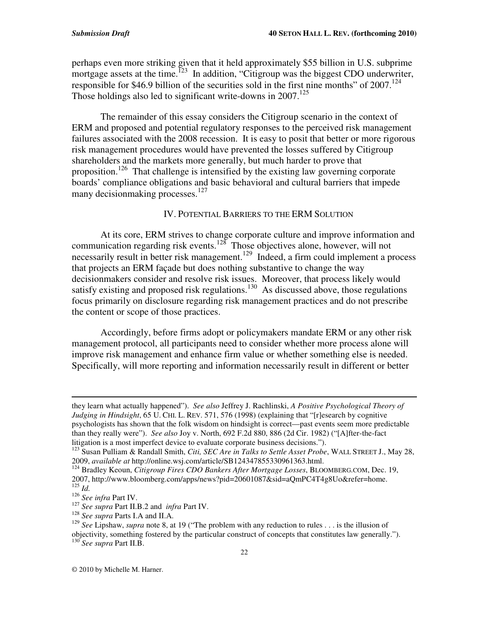perhaps even more striking given that it held approximately \$55 billion in U.S. subprime mortgage assets at the time.<sup> $123$ </sup> In addition, "Citigroup was the biggest CDO underwriter, responsible for \$46.9 billion of the securities sold in the first nine months" of 2007. 124 Those holdings also led to significant write-downs in 2007.<sup>125</sup>

The remainder of this essay considers the Citigroup scenario in the context of ERM and proposed and potential regulatory responses to the perceived risk management failures associated with the 2008 recession. It is easy to posit that better or more rigorous risk management procedures would have prevented the losses suffered by Citigroup shareholders and the markets more generally, but much harder to prove that proposition.<sup>126</sup> That challenge is intensified by the existing law governing corporate boards' compliance obligations and basic behavioral and cultural barriers that impede many decisionmaking processes.<sup>127</sup>

#### IV. POTENTIAL BARRIERS TO THE ERM SOLUTION

At its core, ERM strives to change corporate culture and improve information and communication regarding risk events.<sup>128</sup> Those objectives alone, however, will not necessarily result in better risk management.<sup>129</sup> Indeed, a firm could implement a process that projects an ERM façade but does nothing substantive to change the way decisionmakers consider and resolve risk issues. Moreover, that process likely would satisfy existing and proposed risk regulations.<sup>130</sup> As discussed above, those regulations focus primarily on disclosure regarding risk management practices and do not prescribe the content or scope of those practices.

Accordingly, before firms adopt or policymakers mandate ERM or any other risk management protocol, all participants need to consider whether more process alone will improve risk management and enhance firm value or whether something else is needed. Specifically, will more reporting and information necessarily result in different or better

<u> 1989 - Johann Stein, marwolaethau a gweledydd a ganrad y cynnwys a ganrad y ganrad y ganrad y ganrad y ganra</u>

they learn what actually happened"). *See also* Jeffrey J. Rachlinski, *A Positive Psychological Theory of Judging in Hindsight*, 65 U. CHI. L. REV. 571, 576 (1998) (explaining that "[r]esearch by cognitive psychologists has shown that the folk wisdom on hindsight is correct—past events seem more predictable than they really were"). *See also* Joy v. North, 692 F.2d 880, 886 (2d Cir. 1982) ("[A]fter-the-fact litigation is a most imperfect device to evaluate corporate business decisions.").

<sup>123</sup> Susan Pulliam & Randall Smith, *Citi, SEC Are in Talks to Settle Asset Probe*, WALL STREET J., May 28, 2009, *available at* http://online.wsj.com/article/SB124347855330961363.html.

<sup>124</sup> Bradley Keoun, *Citigroup Fires CDO Bankers After Mortgage Losses*, BLOOMBERG.COM, Dec. 19, 2007, http://www.bloomberg.com/apps/news?pid=20601087&sid=aQmPC4T4g8Uo&refer=home. 125 *Id.*

<sup>126</sup> *See infra* Part IV.

<sup>127</sup> *See supra* Part II.B.2 and *infra* Part IV.

<sup>128</sup> *See supra* Parts I.A and II.A.

<sup>&</sup>lt;sup>129</sup> See Lipshaw, *supra* note 8, at 19 ("The problem with any reduction to rules . . . is the illusion of objectivity, something fostered by the particular construct of concepts that constitutes law generally."). 130 *See supra* Part II.B.

<sup>©</sup> 2010 by Michelle M. Harner.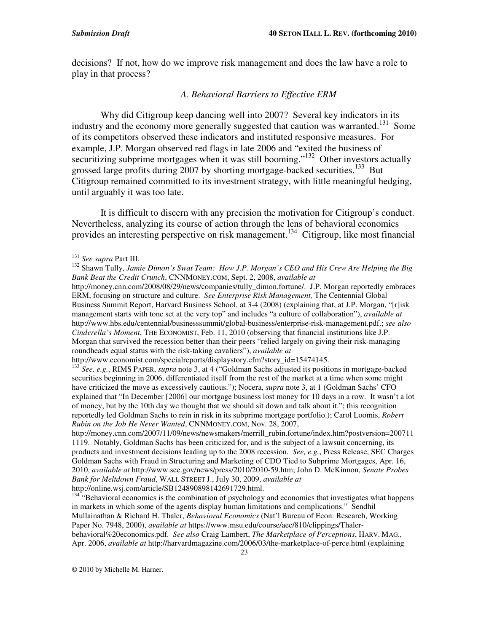decisions? If not, how do we improve risk management and does the law have a role to play in that process?

#### *A. Behavioral Barriers to Effective ERM*

Why did Citigroup keep dancing well into 2007? Several key indicators in its industry and the economy more generally suggested that caution was warranted.<sup>131</sup> Some of its competitors observed these indicators and instituted responsive measures. For example, J.P. Morgan observed red flags in late 2006 and "exited the business of securitizing subprime mortgages when it was still booming."<sup>132</sup> Other investors actually grossed large profits during 2007 by shorting mortgage-backed securities.<sup>133</sup> But Citigroup remained committed to its investment strategy, with little meaningful hedging, until arguably it was too late.

It is difficult to discern with any precision the motivation for Citigroup's conduct. Nevertheless, analyzing its course of action through the lens of behavioral economics provides an interesting perspective on risk management.<sup>134</sup> Citigroup, like most financial

http://money.cnn.com/2008/08/29/news/companies/tully\_dimon.fortune/. J.P. Morgan reportedly embraces ERM, focusing on structure and culture. *See Enterprise Risk Management,* The Centennial Global Business Summit Report, Harvard Business School, at 3-4 (2008) (explaining that, at J.P. Morgan, "[r]isk management starts with tone set at the very top" and includes "a culture of collaboration"), *available at* http://www.hbs.edu/centennial/businesssummit/global-business/enterprise-risk-management.pdf.; *see also Cinderella's Moment*, THE ECONOMIST, Feb. 11, 2010 (observing that financial institutions like J.P. Morgan that survived the recession better than their peers "relied largely on giving their risk-managing roundheads equal status with the risk-taking cavaliers"), *available at*

131 *See supra* Part III.

<sup>132</sup> Shawn Tully, *Jamie Dimon's Swat Team: How J.P. Morgan's CEO and His Crew Are Helping the Big Bank Beat the Credit Crunch*, CNNMONEY.COM, Sept. 2, 2008, *available at*

http://www.economist.com/specialreports/displaystory.cfm?story\_id=15474145.

<sup>133</sup> *See, e.g.*, RIMS PAPER, *supra* note 3, at 4 ("Goldman Sachs adjusted its positions in mortgage-backed securities beginning in 2006, differentiated itself from the rest of the market at a time when some might have criticized the move as excessively cautious."); Nocera, *supra* note 3, at 1 (Goldman Sachs' CFO explained that "In December [2006] our mortgage business lost money for 10 days in a row. It wasn't a lot of money, but by the 10th day we thought that we should sit down and talk about it."; this recognition reportedly led Goldman Sachs to rein in risk in its subprime mortgage portfolio.); Carol Loomis, *Robert Rubin on the Job He Never Wanted*, CNNMONEY.COM, Nov. 28, 2007,

http://money.cnn.com/2007/11/09/news/newsmakers/merrill\_rubin.fortune/index.htm?postversion=200711 1119. Notably, Goldman Sachs has been criticized for, and is the subject of a lawsuit concerning, its products and investment decisions leading up to the 2008 recession. *See, e.g.*, Press Release, SEC Charges Goldman Sachs with Fraud in Structuring and Marketing of CDO Tied to Subprime Mortgages, Apr. 16, 2010, *available at* http://www.sec.gov/news/press/2010/2010-59.htm; John D. McKinnon, *Senate Probes Bank for Meltdown Fraud*, WALL STREET J., July 30, 2009, *available at* http://online.wsj.com/article/SB124890898142691729.html.

<sup>&</sup>lt;sup>134</sup> "Behavioral economics is the combination of psychology and economics that investigates what happens in markets in which some of the agents display human limitations and complications." Sendhil Mullainathan & Richard H. Thaler, *Behavioral Economics* (Nat'l Bureau of Econ. Research, Working Paper No. 7948, 2000), *available at* https://www.msu.edu/course/aec/810/clippings/Thalerbehavioral%20economics.pdf. *See also* Craig Lambert, *The Marketplace of Perceptions*, HARV. MAG., Apr. 2006, *available at* http://harvardmagazine.com/2006/03/the-marketplace-of-perce.html (explaining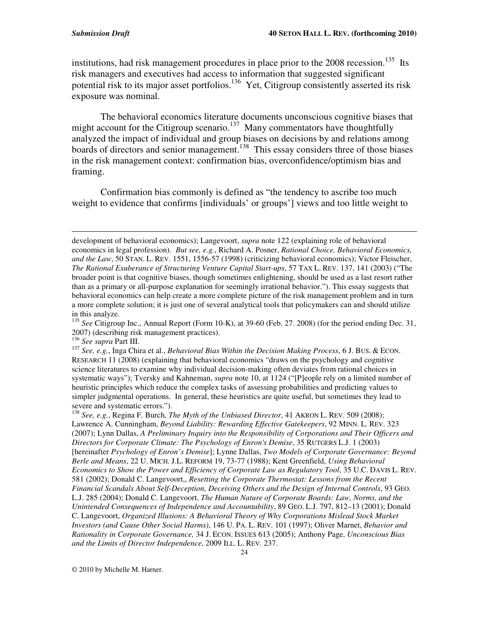institutions, had risk management procedures in place prior to the 2008 recession.<sup>135</sup> Its risk managers and executives had access to information that suggested significant potential risk to its major asset portfolios.<sup>136</sup> Yet, Citigroup consistently asserted its risk exposure was nominal.

The behavioral economics literature documents unconscious cognitive biases that might account for the Citigroup scenario.<sup>137</sup> Many commentators have thoughtfully analyzed the impact of individual and group biases on decisions by and relations among boards of directors and senior management.<sup>138</sup> This essay considers three of those biases in the risk management context: confirmation bias, overconfidence/optimism bias and framing.

Confirmation bias commonly is defined as "the tendency to ascribe too much weight to evidence that confirms [individuals' or groups'] views and too little weight to

<u> 1989 - Johann Stein, marwolaethau a gweledydd a ganrad y cynnwys a ganrad y ganrad y ganrad y ganrad y ganra</u>

development of behavioral economics); Langevoort, *supra* note 122 (explaining role of behavioral economics in legal profession). *But see, e.g.*, Richard A. Posner, *Rational Choice, Behavioral Economics, and the Law*, 50 STAN. L. REV. 1551, 1556-57 (1998) (criticizing behavioral economics); Victor Fleischer, *The Rational Exuberance of Structuring Venture Capital Start-ups*, 57 TAX L. REV. 137, 141 (2003) ("The broader point is that cognitive biases, though sometimes enlightening, should be used as a last resort rather than as a primary or all-purpose explanation for seemingly irrational behavior."). This essay suggests that behavioral economics can help create a more complete picture of the risk management problem and in turn a more complete solution; it is just one of several analytical tools that policymakers can and should utilize in this analyze.

<sup>&</sup>lt;sup>135</sup> See Citigroup Inc., Annual Report (Form 10-K), at 39-60 (Feb. 27. 2008) (for the period ending Dec. 31, 2007) (describing risk management practices).

<sup>136</sup> *See supra* Part III.

<sup>137</sup> *See, e.g.*, Inga Chira et al., *Behavioral Bias Within the Decision Making Process*, 6 J. BUS. & ECON. RESEARCH 11 (2008) (explaining that behavioral economics "draws on the psychology and cognitive science literatures to examine why individual decision-making often deviates from rational choices in systematic ways"); Tversky and Kahneman, *supra* note 10, at 1124 ("[P]eople rely on a limited number of heuristic principles which reduce the complex tasks of assessing probabilities and predicting values to simpler judgmental operations. In general, these heuristics are quite useful, but sometimes they lead to severe and systematic errors.").

<sup>138</sup> *See, e.g.*, Regina F. Burch, *The Myth of the Unbiased Director*, 41 AKRON L. REV. 509 (2008); Lawrence A. Cunningham, *Beyond Liability: Rewarding Effective Gatekeepers*, 92 MINN. L. REV. 323 (2007); Lynn Dallas, *A Preliminary Inquiry into the Responsibility of Corporations and Their Officers and Directors for Corporate Climate: The Psychology of Enron's Demise*, 35 RUTGERS L.J. 1 (2003) [hereinafter *Psychology of Enron's Demise*]; Lynne Dallas, *Two Models of Corporate Governance: Beyond Berle and Means*, 22 U. MICH. J.L. REFORM 19, 73-77 (1988); Kent Greenfield, *Using Behavioral Economics to Show the Power and Efficiency of Corporate Law as Regulatory Tool*, 35 U.C. DAVIS L. REV. 581 (2002); Donald C. Langevoort,, *Resetting the Corporate Thermostat: Lessons from the Recent Financial Scandals About Self-Deception, Deceiving Others and the Design of Internal Controls*, 93 GEO. L.J. 285 (2004); Donald C. Langevoort, *The Human Nature of Corporate Boards: Law, Norms, and the Unintended Consequences of Independence and Accountability*, 89 GEO. L.J. 797, 812–13 (2001); Donald C. Langevoort, *Organized Illusions: A Behavioral Theory of Why Corporations Mislead Stock Market Investors (and Cause Other Social Harms)*, 146 U. PA. L. REV. 101 (1997); Oliver Marnet, *Behavior and Rationality in Corporate Governance,* 34 J. ECON. ISSUES 613 (2005); Anthony Page, *Unconscious Bias and the Limits of Director Independence*, 2009 ILL. L. REV. 237.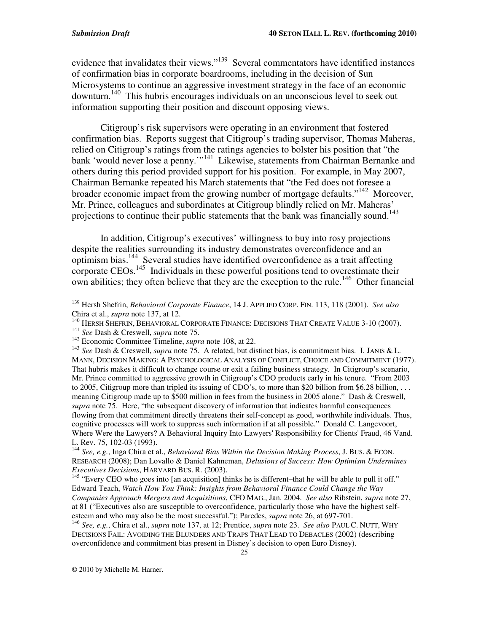evidence that invalidates their views."<sup>139</sup> Several commentators have identified instances of confirmation bias in corporate boardrooms, including in the decision of Sun Microsystems to continue an aggressive investment strategy in the face of an economic downturn. 140 This hubris encourages individuals on an unconscious level to seek out information supporting their position and discount opposing views.

Citigroup's risk supervisors were operating in an environment that fostered confirmation bias. Reports suggest that Citigroup's trading supervisor, Thomas Maheras, relied on Citigroup's ratings from the ratings agencies to bolster his position that "the bank 'would never lose a penny."<sup>141</sup> Likewise, statements from Chairman Bernanke and others during this period provided support for his position. For example, in May 2007, Chairman Bernanke repeated his March statements that "the Fed does not foresee a broader economic impact from the growing number of mortgage defaults."<sup>142</sup> Moreover, Mr. Prince, colleagues and subordinates at Citigroup blindly relied on Mr. Maheras' projections to continue their public statements that the bank was financially sound.<sup>143</sup>

In addition, Citigroup's executives' willingness to buy into rosy projections despite the realities surrounding its industry demonstrates overconfidence and an optimism bias. 144 Several studies have identified overconfidence as a trait affecting corporate CEOs.<sup>145</sup> Individuals in these powerful positions tend to overestimate their own abilities; they often believe that they are the exception to the rule.<sup>146</sup> Other financial

141 *See* Dash & Creswell, *supra* note 75.

<sup>139</sup> Hersh Shefrin, *Behavioral Corporate Finance*, 14 J. APPLIED CORP. FIN. 113, 118 (2001). *See also* Chira et al., *supra* note 137, at 12.

<sup>&</sup>lt;sup>140</sup> HERSH SHEFRIN, BEHAVIORAL CORPORATE FINANCE: DECISIONS THAT CREATE VALUE 3-10 (2007).

<sup>142</sup> Economic Committee Timeline, *supra* note 108, at 22.

<sup>143</sup> *See* Dash & Creswell, *supra* note 75. A related, but distinct bias, is commitment bias. I. JANIS & L. MANN, DECISION MAKING: A PSYCHOLOGICAL ANALYSIS OF CONFLICT, CHOICE AND COMMITMENT (1977). That hubris makes it difficult to change course or exit a failing business strategy. In Citigroup's scenario, Mr. Prince committed to aggressive growth in Citigroup's CDO products early in his tenure. "From 2003 to 2005, Citigroup more than tripled its issuing of CDO's, to more than \$20 billion from \$6.28 billion, . . . meaning Citigroup made up to \$500 million in fees from the business in 2005 alone." Dash & Creswell, *supra* note 75. Here, "the subsequent discovery of information that indicates harmful consequences flowing from that commitment directly threatens their self-concept as good, worthwhile individuals. Thus, cognitive processes will work to suppress such information if at all possible." Donald C. Langevoort, Where Were the Lawyers? A Behavioral Inquiry Into Lawyers' Responsibility for Clients' Fraud, 46 Vand. L. Rev. 75, 102-03 (1993).

<sup>144</sup> *See, e.g.*, Inga Chira et al., *Behavioral Bias Within the Decision Making Process*, J. BUS. & ECON. RESEARCH (2008); Dan Lovallo & Daniel Kahneman, *Delusions of Success: How Optimism Undermines Executives Decisions*, HARVARD BUS. R. (2003).<br><sup>145</sup> "Every CEO who goes into [an acquisition] thinks he is different–that he will be able to pull it off."

Edward Teach, *Watch How You Think: Insights from Behavioral Finance Could Change the Way Companies Approach Mergers and Acquisitions*, CFO MAG., Jan. 2004. *See also* Ribstein, *supra* note 27, at 81 ("Executives also are susceptible to overconfidence, particularly those who have the highest selfesteem and who may also be the most successful."); Paredes, *supra* note 26, at 697-701.

<sup>146</sup> *See, e.g.*, Chira et al., *supra* note 137, at 12; Prentice, *supra* note 23. *See also* PAUL C. NUTT, WHY DECISIONS FAIL: AVOIDING THE BLUNDERS AND TRAPS THAT LEAD TO DEBACLES (2002) (describing overconfidence and commitment bias present in Disney's decision to open Euro Disney).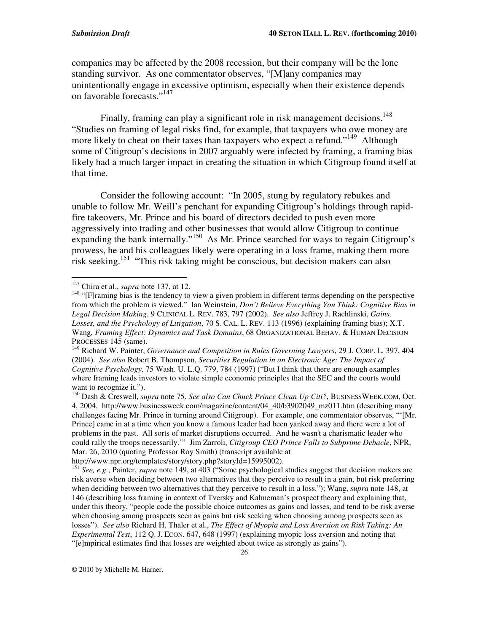companies may be affected by the 2008 recession, but their company will be the lone standing survivor. As one commentator observes, "[M]any companies may unintentionally engage in excessive optimism, especially when their existence depends on favorable forecasts."<sup>147</sup>

Finally, framing can play a significant role in risk management decisions.<sup>148</sup> "Studies on framing of legal risks find, for example, that taxpayers who owe money are more likely to cheat on their taxes than taxpayers who expect a refund."<sup>149</sup> Although some of Citigroup's decisions in 2007 arguably were infected by framing, a framing bias likely had a much larger impact in creating the situation in which Citigroup found itself at that time.

Consider the following account: "In 2005, stung by regulatory rebukes and unable to follow Mr. Weill's penchant for expanding Citigroup's holdings through rapidfire takeovers, Mr. Prince and his board of directors decided to push even more aggressively into trading and other businesses that would allow Citigroup to continue expanding the bank internally."<sup>150</sup> As Mr. Prince searched for ways to regain Citigroup's prowess, he and his colleagues likely were operating in a loss frame, making them more risk seeking. 151 "This risk taking might be conscious, but decision makers can also

<sup>147</sup> Chira et al., *supra* note 137, at 12.

<sup>&</sup>lt;sup>148</sup> "[F]raming bias is the tendency to view a given problem in different terms depending on the perspective from which the problem is viewed." Ian Weinstein, *Don't Believe Everything You Think: Cognitive Bias in Legal Decision Making*, 9 CLINICAL L. REV. 783, 797 (2002). *See also* Jeffrey J. Rachlinski, *Gains, Losses, and the Psychology of Litigation*, 70 S. CAL. L. REV. 113 (1996) (explaining framing bias); X.T. Wang, *Framing Effect: Dynamics and Task Domains*, 68 ORGANIZATIONAL BEHAV. & HUMAN DECISION PROCESSES 145 (same).

<sup>149</sup> Richard W. Painter, *Governance and Competition in Rules Governing Lawyers*, 29 J. CORP. L. 397, 404 (2004). *See also* Robert B. Thompson, *Securities Regulation in an Electronic Age: The Impact of Cognitive Psychology,* 75 Wash. U. L.Q. 779, 784 (1997) ("But I think that there are enough examples where framing leads investors to violate simple economic principles that the SEC and the courts would want to recognize it.").

<sup>150</sup> Dash & Creswell, *supra* note 75. *See also Can Chuck Prince Clean Up Citi?*, BUSINESSWEEK.COM, Oct. 4, 2004, http://www.businessweek.com/magazine/content/04\_40/b3902049\_mz011.htm (describing many challenges facing Mr. Prince in turning around Citigroup). For example, one commentator observes, "'[Mr. Prince] came in at a time when you know a famous leader had been yanked away and there were a lot of problems in the past. All sorts of market disruptions occurred. And he wasn't a charismatic leader who could rally the troops necessarily.'" Jim Zarroli, *Citigroup CEO Prince Falls to Subprime Debacle*, NPR, Mar. 26, 2010 (quoting Professor Roy Smith) (transcript available at

http://www.npr.org/templates/story/story.php?storyId=15995002).

<sup>151</sup> *See, e.g.*, Painter, *supra* note 149, at 403 ("Some psychological studies suggest that decision makers are risk averse when deciding between two alternatives that they perceive to result in a gain, but risk preferring when deciding between two alternatives that they perceive to result in a loss."); Wang, *supra* note 148, at 146 (describing loss framing in context of Tversky and Kahneman's prospect theory and explaining that, under this theory, "people code the possible choice outcomes as gains and losses, and tend to be risk averse when choosing among prospects seen as gains but risk seeking when choosing among prospects seen as losses"). *See also* Richard H. Thaler et al., *The Effect of Myopia and Loss Aversion on Risk Taking: An Experimental Test*, 112 Q. J. ECON. 647, 648 (1997) (explaining myopic loss aversion and noting that "[e]mpirical estimates find that losses are weighted about twice as strongly as gains").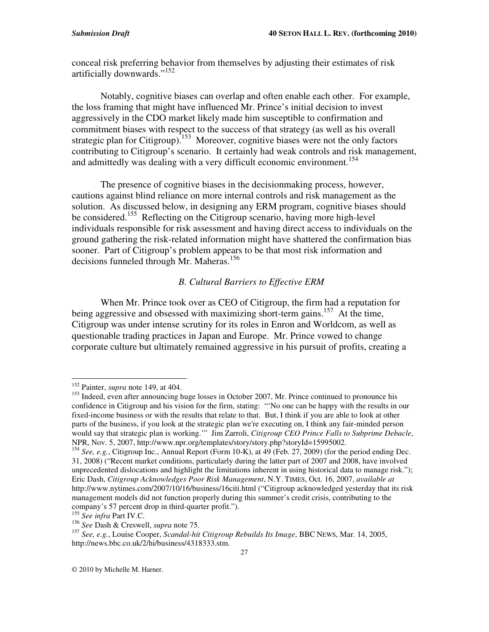conceal risk preferring behavior from themselves by adjusting their estimates of risk artificially downwards." 152

Notably, cognitive biases can overlap and often enable each other. For example, the loss framing that might have influenced Mr. Prince's initial decision to invest aggressively in the CDO market likely made him susceptible to confirmation and commitment biases with respect to the success of that strategy (as well as his overall strategic plan for Citigroup).<sup>153</sup> Moreover, cognitive biases were not the only factors contributing to Citigroup's scenario. It certainly had weak controls and risk management, and admittedly was dealing with a very difficult economic environment. 154

The presence of cognitive biases in the decisionmaking process, however, cautions against blind reliance on more internal controls and risk management as the solution. As discussed below, in designing any ERM program, cognitive biases should be considered. <sup>155</sup> Reflecting on the Citigroup scenario, having more high-level individuals responsible for risk assessment and having direct access to individuals on the ground gathering the risk-related information might have shattered the confirmation bias sooner. Part of Citigroup's problem appears to be that most risk information and decisions funneled through Mr. Maheras.<sup>156</sup>

#### *B. Cultural Barriers to Effective ERM*

When Mr. Prince took over as CEO of Citigroup, the firm had a reputation for being aggressive and obsessed with maximizing short-term gains.<sup>157</sup> At the time, Citigroup was under intense scrutiny for its roles in Enron and Worldcom, as well as questionable trading practices in Japan and Europe. Mr. Prince vowed to change corporate culture but ultimately remained aggressive in his pursuit of profits, creating a

152 Painter, *supra* note 149, at 404.

<sup>&</sup>lt;sup>153</sup> Indeed, even after announcing huge losses in October 2007, Mr. Prince continued to pronounce his confidence in Citigroup and his vision for the firm, stating: "'No one can be happy with the results in our fixed-income business or with the results that relate to that. But, I think if you are able to look at other parts of the business, if you look at the strategic plan we're executing on, I think any fair-minded person would say that strategic plan is working.'" Jim Zarroli, *Citigroup CEO Prince Falls to Subprime Debacle*, NPR, Nov. 5, 2007, http://www.npr.org/templates/story/story.php?storyId=15995002.

<sup>154</sup> *See, e.g.*, Citigroup Inc., Annual Report (Form 10-K), at 49 (Feb. 27, 2009) (for the period ending Dec. 31, 2008) ("Recent market conditions, particularly during the latter part of 2007 and 2008, have involved unprecedented dislocations and highlight the limitations inherent in using historical data to manage risk."); Eric Dash, *Citigroup Acknowledges Poor Risk Management*, N.Y. TIMES, Oct. 16, 2007, *available at* http://www.nytimes.com/2007/10/16/business/16citi.html ("Citigroup acknowledged yesterday that its risk management models did not function properly during this summer's credit crisis, contributing to the company's 57 percent drop in third-quarter profit."). 155 *See infra* Part IV.C.

<sup>156</sup> *See* Dash & Creswell, *supra* note 75.

<sup>157</sup> *See, e.g.*, Louise Cooper, *Scandal-hit Citigroup Rebuilds Its Image*, BBC NEWS, Mar. 14, 2005, http://news.bbc.co.uk/2/hi/business/4318333.stm.

<sup>©</sup> 2010 by Michelle M. Harner.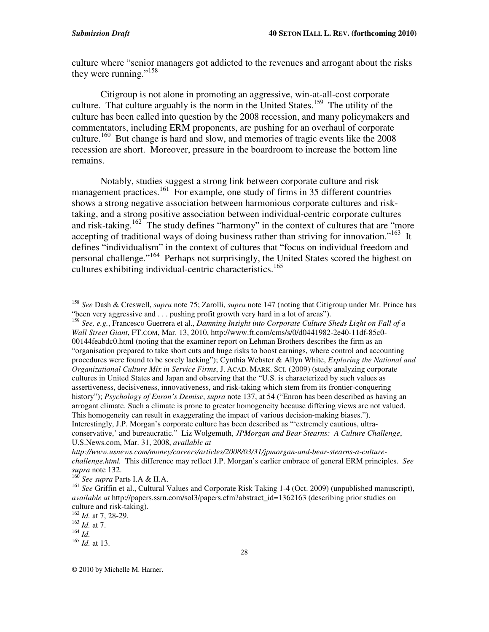culture where "senior managers got addicted to the revenues and arrogant about the risks they were running."<sup>158</sup>

Citigroup is not alone in promoting an aggressive, win-at-all-cost corporate culture. That culture arguably is the norm in the United States.<sup>159</sup> The utility of the culture has been called into question by the 2008 recession, and many policymakers and commentators, including ERM proponents, are pushing for an overhaul of corporate culture. <sup>160</sup> But change is hard and slow, and memories of tragic events like the 2008 recession are short. Moreover, pressure in the boardroom to increase the bottom line remains.

Notably, studies suggest a strong link between corporate culture and risk management practices.<sup>161</sup> For example, one study of firms in 35 different countries shows a strong negative association between harmonious corporate cultures and risktaking, and a strong positive association between individual-centric corporate cultures and risk-taking.<sup>162</sup> The study defines "harmony" in the context of cultures that are "more accepting of traditional ways of doing business rather than striving for innovation."<sup>163</sup> It defines "individualism" in the context of cultures that "focus on individual freedom and personal challenge."<sup>164</sup> Perhaps not surprisingly, the United States scored the highest on cultures exhibiting individual-centric characteristics. 165

159 *See, e.g.*, Francesco Guerrera et al., *Damning Insight into Corporate Culture Sheds Light on Fall of a Wall Street Giant*, FT.COM, Mar. 13, 2010, http://www.ft.com/cms/s/0/d0441982-2e40-11df-85c0- 00144feabdc0.html (noting that the examiner report on Lehman Brothers describes the firm as an "organisation prepared to take short cuts and huge risks to boost earnings, where control and accounting procedures were found to be sorely lacking"); Cynthia Webster & Allyn White, *Exploring the National and Organizational Culture Mix in Service Firms*, J. ACAD. MARK. SCI. (2009) (study analyzing corporate cultures in United States and Japan and observing that the "U.S. is characterized by such values as assertiveness, decisiveness, innovativeness, and risk-taking which stem from its frontier-conquering history"); *Psychology of Enron's Demise*, *supra* note 137, at 54 ("Enron has been described as having an arrogant climate. Such a climate is prone to greater homogeneity because differing views are not valued. This homogeneity can result in exaggerating the impact of various decision-making biases."). Interestingly, J.P. Morgan's corporate culture has been described as "'extremely cautious, ultraconservative,' and bureaucratic." Liz Wolgemuth, *JPMorgan and Bear Stearns: A Culture Challenge*, U.S.News.com, Mar. 31, 2008, *available at*

162 *Id.* at 7, 28-29.

158 *See* Dash & Creswell, *supra* note 75; Zarolli, *supra* note 147 (noting that Citigroup under Mr. Prince has "been very aggressive and ... pushing profit growth very hard in a lot of areas").

*http://www.usnews.com/money/careers/articles/2008/03/31/jpmorgan-and-bear-stearns-a-culturechallenge.html.* This difference may reflect J.P. Morgan's earlier embrace of general ERM principles. *See*

*supra* note 132. 160 *See supra* Parts I.A & II.A.

<sup>&</sup>lt;sup>161</sup> See Griffin et al., Cultural Values and Corporate Risk Taking 1-4 (Oct. 2009) (unpublished manuscript), *available at* http://papers.ssrn.com/sol3/papers.cfm?abstract\_id=1362163 (describing prior studies on culture and risk-taking).

<sup>163</sup> *Id.* at 7.

<sup>164</sup> *Id.*

<sup>165</sup> *Id.* at 13.

<sup>©</sup> 2010 by Michelle M. Harner.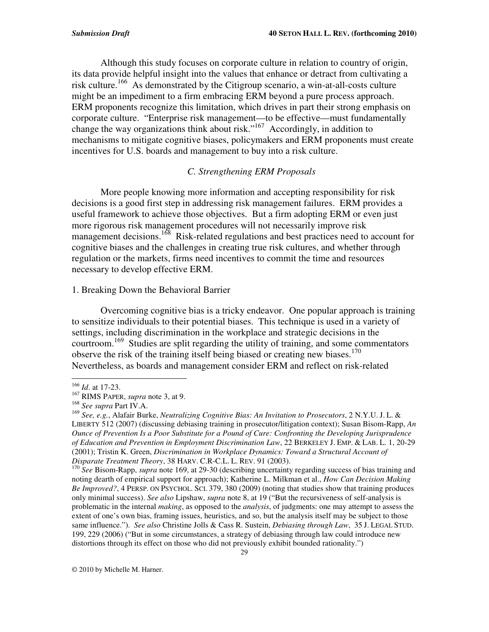Although this study focuses on corporate culture in relation to country of origin, its data provide helpful insight into the values that enhance or detract from cultivating a risk culture. <sup>166</sup> As demonstrated by the Citigroup scenario, a win-at-all-costs culture might be an impediment to a firm embracing ERM beyond a pure process approach. ERM proponents recognize this limitation, which drives in part their strong emphasis on corporate culture. "Enterprise risk management—to be effective—must fundamentally change the way organizations think about risk."<sup>167</sup> Accordingly, in addition to mechanisms to mitigate cognitive biases, policymakers and ERM proponents must create incentives for U.S. boards and management to buy into a risk culture.

### *C. Strengthening ERM Proposals*

More people knowing more information and accepting responsibility for risk decisions is a good first step in addressing risk management failures. ERM provides a useful framework to achieve those objectives. But a firm adopting ERM or even just more rigorous risk management procedures will not necessarily improve risk management decisions.<sup>168</sup> Risk-related regulations and best practices need to account for cognitive biases and the challenges in creating true risk cultures, and whether through regulation or the markets, firms need incentives to commit the time and resources necessary to develop effective ERM.

#### 1. Breaking Down the Behavioral Barrier

Overcoming cognitive bias is a tricky endeavor. One popular approach is training to sensitize individuals to their potential biases. This technique is used in a variety of settings, including discrimination in the workplace and strategic decisions in the courtroom. 169 Studies are split regarding the utility of training, and some commentators observe the risk of the training itself being biased or creating new biases.<sup>170</sup> Nevertheless, as boards and management consider ERM and reflect on risk-related

<sup>166</sup> *Id*. at 17-23.

<sup>167</sup> RIMS PAPER, *supra* note 3, at 9.

<sup>168</sup> *See supra* Part IV.A.

<sup>169</sup> *See, e.g.*, Alafair Burke, *Neutralizing Cognitive Bias: An Invitation to Prosecutors*, 2 N.Y.U. J. L. & LIBERTY 512 (2007) (discussing debiasing training in prosecutor/litigation context); Susan Bisom-Rapp, *An Ounce of Prevention Is a Poor Substitute for a Pound of Cure: Confronting the Developing Jurisprudence of Education and Prevention in Employment Discrimination Law*, 22 BERKELEY J. EMP. & LAB. L. 1, 20-29 (2001); Tristin K. Green, *Discrimination in Workplace Dynamics: Toward a Structural Account of Disparate Treatment Theory*, 38 HARV. C.R-C.L. L. REV. 91 (2003).

<sup>&</sup>lt;sup>170</sup> See Bisom-Rapp, *supra* note 169, at 29-30 (describing uncertainty regarding success of bias training and noting dearth of empirical support for approach); Katherine L. Milkman et al., *How Can Decision Making Be Improved?*, 4 PERSP. ON PSYCHOL. SCI. 379, 380 (2009) (noting that studies show that training produces only minimal success). *See also* Lipshaw, *supra* note 8, at 19 ("But the recursiveness of self-analysis is problematic in the internal *making*, as opposed to the *analysis*, of judgments: one may attempt to assess the extent of one's own bias, framing issues, heuristics, and so, but the analysis itself may be subject to those same influence."). *See also* Christine Jolls & Cass R. Sustein, *Debiasing through Law*, 35 J. LEGAL STUD. 199, 229 (2006) ("But in some circumstances, a strategy of debiasing through law could introduce new distortions through its effect on those who did not previously exhibit bounded rationality.")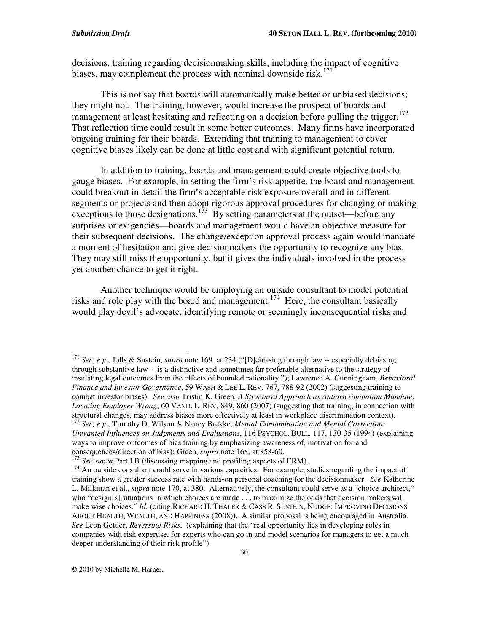decisions, training regarding decisionmaking skills, including the impact of cognitive biases, may complement the process with nominal downside risk. 171

This is not say that boards will automatically make better or unbiased decisions; they might not. The training, however, would increase the prospect of boards and management at least hesitating and reflecting on a decision before pulling the trigger.<sup>172</sup> That reflection time could result in some better outcomes. Many firms have incorporated ongoing training for their boards. Extending that training to management to cover cognitive biases likely can be done at little cost and with significant potential return.

In addition to training, boards and management could create objective tools to gauge biases. For example, in setting the firm's risk appetite, the board and management could breakout in detail the firm's acceptable risk exposure overall and in different segments or projects and then adopt rigorous approval procedures for changing or making exceptions to those designations.<sup>173</sup> By setting parameters at the outset—before any surprises or exigencies—boards and management would have an objective measure for their subsequent decisions. The change/exception approval process again would mandate a moment of hesitation and give decisionmakers the opportunity to recognize any bias. They may still miss the opportunity, but it gives the individuals involved in the process yet another chance to get it right.

Another technique would be employing an outside consultant to model potential risks and role play with the board and management.<sup>174</sup> Here, the consultant basically would play devil's advocate, identifying remote or seemingly inconsequential risks and

© 2010 by Michelle M. Harner.

<sup>&</sup>lt;sup>171</sup> See, e.g., Jolls & Sustein, *supra* note 169, at 234 ("[D]ebiasing through law -- especially debiasing through substantive law -- is a distinctive and sometimes far preferable alternative to the strategy of insulating legal outcomes from the effects of bounded rationality."); Lawrence A. Cunningham, *Behavioral Finance and Investor Governance*, 59 WASH & LEE L. REV. 767, 788-92 (2002) (suggesting training to combat investor biases). *See also* Tristin K. Green, *A Structural Approach as Antidiscrimination Mandate: Locating Employer Wrong*, 60 VAND. L. REV. 849, 860 (2007) (suggesting that training, in connection with structural changes, may address biases more effectively at least in workplace discrimination context).<br><sup>172</sup> See, e.g., Timothy D. Wilson & Nancy Brekke, *Mental Contamination and Mental Correction*: *Unwanted Influences on Judgments and Evaluations*, 116 PSYCHOL. BULL. 117, 130-35 (1994) (explaining ways to improve outcomes of bias training by emphasizing awareness of, motivation for and

consequences/direction of bias); Green, *supra* note 168, at 858-60. 173 *See supra* Part I.B (discussing mapping and profiling aspects of ERM).

<sup>&</sup>lt;sup>174</sup> An outside consultant could serve in various capacities. For example, studies regarding the impact of training show a greater success rate with hands-on personal coaching for the decisionmaker. *See* Katherine L. Milkman et al., *supra* note 170, at 380. Alternatively, the consultant could serve as a "choice architect," who "design[s] situations in which choices are made . . . to maximize the odds that decision makers will make wise choices." *Id.* (citing RICHARD H. THALER & CASS R. SUSTEIN, NUDGE: IMPROVING DECISIONS ABOUT HEALTH, WEALTH, AND HAPPINESS (2008)). A similar proposal is being encouraged in Australia. *See* Leon Gettler, *Reversing Risks*, (explaining that the "real opportunity lies in developing roles in companies with risk expertise, for experts who can go in and model scenarios for managers to get a much deeper understanding of their risk profile").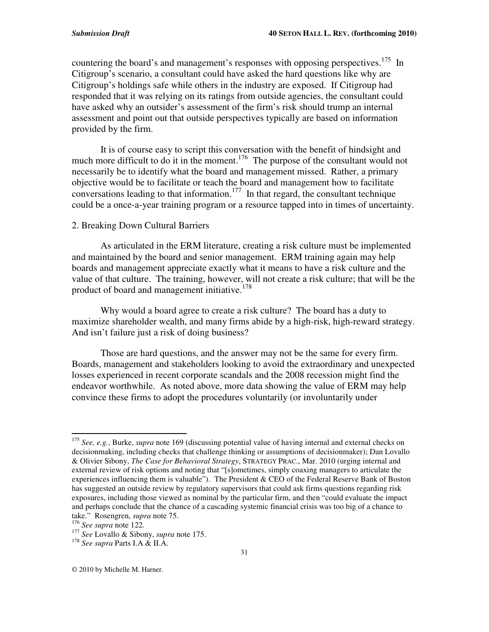countering the board's and management's responses with opposing perspectives.<sup>175</sup> In Citigroup's scenario, a consultant could have asked the hard questions like why are Citigroup's holdings safe while others in the industry are exposed. If Citigroup had responded that it was relying on its ratings from outside agencies, the consultant could have asked why an outsider's assessment of the firm's risk should trump an internal assessment and point out that outside perspectives typically are based on information provided by the firm.

It is of course easy to script this conversation with the benefit of hindsight and much more difficult to do it in the moment.<sup>176</sup> The purpose of the consultant would not necessarily be to identify what the board and management missed. Rather, a primary objective would be to facilitate or teach the board and management how to facilitate conversations leading to that information.<sup>177</sup> In that regard, the consultant technique could be a once-a-year training program or a resource tapped into in times of uncertainty.

#### 2. Breaking Down Cultural Barriers

As articulated in the ERM literature, creating a risk culture must be implemented and maintained by the board and senior management. ERM training again may help boards and management appreciate exactly what it means to have a risk culture and the value of that culture. The training, however, will not create a risk culture; that will be the product of board and management initiative.<sup>178</sup>

Why would a board agree to create a risk culture? The board has a duty to maximize shareholder wealth, and many firms abide by a high-risk, high-reward strategy. And isn't failure just a risk of doing business?

Those are hard questions, and the answer may not be the same for every firm. Boards, management and stakeholders looking to avoid the extraordinary and unexpected losses experienced in recent corporate scandals and the 2008 recession might find the endeavor worthwhile. As noted above, more data showing the value of ERM may help convince these firms to adopt the procedures voluntarily (or involuntarily under

<sup>175</sup> *See, e.g.*, Burke, *supra* note 169 (discussing potential value of having internal and external checks on decisionmaking, including checks that challenge thinking or assumptions of decisionmaker); Dan Lovallo & Olivier Sibony, *The Case for Behavioral Strategy*, STRATEGY PRAC., Mar. 2010 (urging internal and external review of risk options and noting that "[s]ometimes, simply coaxing managers to articulate the experiences influencing them is valuable"). The President & CEO of the Federal Reserve Bank of Boston has suggested an outside review by regulatory supervisors that could ask firms questions regarding risk exposures, including those viewed as nominal by the particular firm, and then "could evaluate the impact and perhaps conclude that the chance of a cascading systemic financial crisis was too big of a chance to take." Rosengren, *supra* note 75.

<sup>176</sup> *See supra* note 122.

<sup>177</sup> *See* Lovallo & Sibony, *supra* note 175.

<sup>178</sup> *See supra* Parts I.A & II.A.

<sup>©</sup> 2010 by Michelle M. Harner.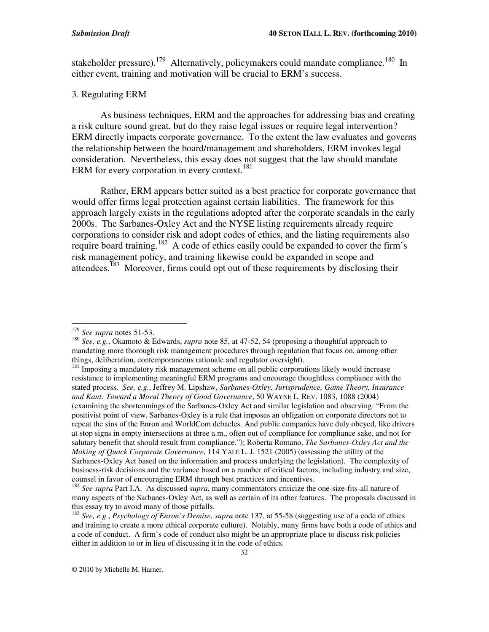stakeholder pressure).<sup>179</sup> Alternatively, policymakers could mandate compliance.<sup>180</sup> In either event, training and motivation will be crucial to ERM's success.

#### 3. Regulating ERM

As business techniques, ERM and the approaches for addressing bias and creating a risk culture sound great, but do they raise legal issues or require legal intervention? ERM directly impacts corporate governance. To the extent the law evaluates and governs the relationship between the board/management and shareholders, ERM invokes legal consideration. Nevertheless, this essay does not suggest that the law should mandate ERM for every corporation in every context.<sup>181</sup>

Rather, ERM appears better suited as a best practice for corporate governance that would offer firms legal protection against certain liabilities. The framework for this approach largely exists in the regulations adopted after the corporate scandals in the early 2000s. The Sarbanes-Oxley Act and the NYSE listing requirements already require corporations to consider risk and adopt codes of ethics, and the listing requirements also require board training.<sup>182</sup> A code of ethics easily could be expanded to cover the firm's risk management policy, and training likewise could be expanded in scope and attendees.<sup>183</sup> Moreover, firms could opt out of these requirements by disclosing their

<sup>179</sup> *See supra* notes 51-53.

<sup>180</sup> *See, e.g.*, Okamoto & Edwards, *supra* note 85, at 47-52, 54 (proposing a thoughtful approach to mandating more thorough risk management procedures through regulation that focus on, among other things, deliberation, contemporaneous rationale and regulator oversight).

<sup>&</sup>lt;sup>181</sup> Imposing a mandatory risk management scheme on all public corporations likely would increase resistance to implementing meaningful ERM programs and encourage thoughtless compliance with the stated process. *See, e.g.*, Jeffrey M. Lipshaw, *Sarbanes-Oxley, Jurisprudence, Game Theory, Insurance and Kant: Toward a Moral Theory of Good Governance*, 50 WAYNE L. REV. 1083, 1088 (2004) (examining the shortcomings of the Sarbanes-Oxley Act and similar legislation and observing: "From the positivist point of view, Sarbanes-Oxley is a rule that imposes an obligation on corporate directors not to repeat the sins of the Enron and WorldCom debacles. And public companies have duly obeyed, like drivers at stop signs in empty intersections at three a.m., often out of compliance for compliance sake, and not for salutary benefit that should result from compliance."); Roberta Romano, *The Sarbanes-Oxley Act and the Making of Quack Corporate Governance*, 114 YALE L. J. 1521 (2005) (assessing the utility of the Sarbanes-Oxley Act based on the information and process underlying the legislation). The complexity of business-risk decisions and the variance based on a number of critical factors, including industry and size, counsel in favor of encouraging ERM through best practices and incentives.

<sup>182</sup> *See supra* Part I.A. As discussed *supra*, many commentators criticize the one-size-fits-all nature of many aspects of the Sarbanes-Oxley Act, as well as certain of its other features. The proposals discussed in this essay try to avoid many of those pitfalls.

<sup>183</sup> *See, e.g.*, *Psychology of Enron's Demise*, *supra* note 137, at 55-58 (suggesting use of a code of ethics and training to create a more ethical corporate culture). Notably, many firms have both a code of ethics and a code of conduct. A firm's code of conduct also might be an appropriate place to discuss risk policies either in addition to or in lieu of discussing it in the code of ethics.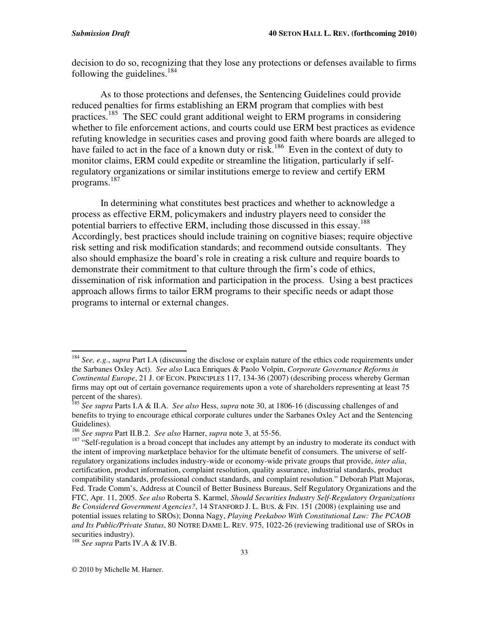decision to do so, recognizing that they lose any protections or defenses available to firms following the guidelines. 184

As to those protections and defenses, the Sentencing Guidelines could provide reduced penalties for firms establishing an ERM program that complies with best practices.<sup>185</sup> The SEC could grant additional weight to ERM programs in considering whether to file enforcement actions, and courts could use ERM best practices as evidence refuting knowledge in securities cases and proving good faith where boards are alleged to have failed to act in the face of a known duty or risk.<sup>186</sup> Even in the context of duty to monitor claims, ERM could expedite or streamline the litigation, particularly if selfregulatory organizations or similar institutions emerge to review and certify ERM programs. 187

In determining what constitutes best practices and whether to acknowledge a process as effective ERM, policymakers and industry players need to consider the potential barriers to effective ERM, including those discussed in this essay.<sup>188</sup> Accordingly, best practices should include training on cognitive biases; require objective risk setting and risk modification standards; and recommend outside consultants. They also should emphasize the board's role in creating a risk culture and require boards to demonstrate their commitment to that culture through the firm's code of ethics, dissemination of risk information and participation in the process. Using a best practices approach allows firms to tailor ERM programs to their specific needs or adapt those programs to internal or external changes.

188 *See supra* Parts IV.A & IV.B.

<sup>184</sup> *See, e.g.*, *supra* Part I.A (discussing the disclose or explain nature of the ethics code requirements under the Sarbanes Oxley Act). *See also* Luca Enriques & Paolo Volpin, *Corporate Governance Reforms in Continental Europe*, 21 J. OF ECON. PRINCIPLES 117, 134-36 (2007) (describing process whereby German firms may opt out of certain governance requirements upon a vote of shareholders representing at least 75 percent of the shares). 185 *See supra* Parts I.A & II.A. *See also* Hess, *supra* note 30, at 1806-16 (discussing challenges of and

benefits to trying to encourage ethical corporate cultures under the Sarbanes Oxley Act and the Sentencing Guidelines).

<sup>186</sup> *See supra* Part II.B.2. *See also* Harner, *supra* note 3, at 55-56.

<sup>&</sup>lt;sup>187</sup> "Self-regulation is a broad concept that includes any attempt by an industry to moderate its conduct with the intent of improving marketplace behavior for the ultimate benefit of consumers. The universe of selfregulatory organizations includes industry-wide or economy-wide private groups that provide, *inter alia*, certification, product information, complaint resolution, quality assurance, industrial standards, product compatibility standards, professional conduct standards, and complaint resolution." Deborah Platt Majoras, Fed. Trade Comm's, Address at Council of Better Business Bureaus, Self Regulatory Organizations and the FTC, Apr. 11, 2005. *See also* Roberta S. Karmel, *Should Securities Industry Self-Regulatory Organizations Be Considered Government Agencies?*, 14 STANFORD J. L. BUS. & FIN. 151 (2008) (explaining use and potential issues relating to SROs); Donna Nagy, *Playing Peekaboo With Constitutional Law: The PCAOB and Its Public/Private Status*, 80 NOTRE DAME L. REV. 975, 1022-26 (reviewing traditional use of SROs in securities industry).

<sup>©</sup> 2010 by Michelle M. Harner.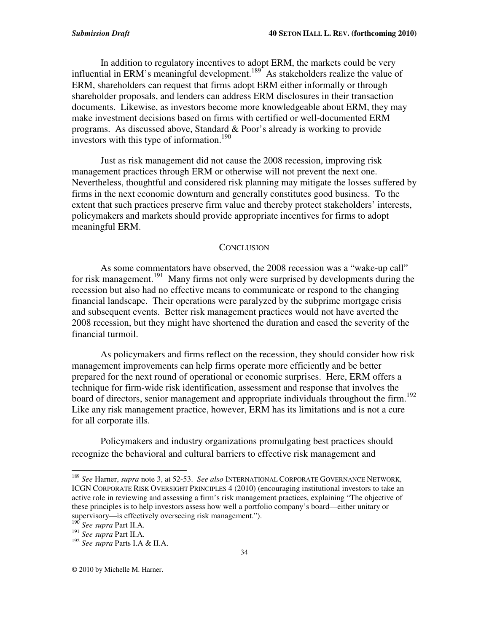In addition to regulatory incentives to adopt ERM, the markets could be very influential in ERM's meaningful development.<sup>189</sup> As stakeholders realize the value of ERM, shareholders can request that firms adopt ERM either informally or through shareholder proposals, and lenders can address ERM disclosures in their transaction documents. Likewise, as investors become more knowledgeable about ERM, they may make investment decisions based on firms with certified or well-documented ERM programs. As discussed above, Standard & Poor's already is working to provide investors with this type of information. 190

Just as risk management did not cause the 2008 recession, improving risk management practices through ERM or otherwise will not prevent the next one. Nevertheless, thoughtful and considered risk planning may mitigate the losses suffered by firms in the next economic downturn and generally constitutes good business. To the extent that such practices preserve firm value and thereby protect stakeholders' interests, policymakers and markets should provide appropriate incentives for firms to adopt meaningful ERM.

#### **CONCLUSION**

As some commentators have observed, the 2008 recession was a "wake-up call" for risk management.<sup>191</sup> Many firms not only were surprised by developments during the recession but also had no effective means to communicate or respond to the changing financial landscape. Their operations were paralyzed by the subprime mortgage crisis and subsequent events. Better risk management practices would not have averted the 2008 recession, but they might have shortened the duration and eased the severity of the financial turmoil.

As policymakers and firms reflect on the recession, they should consider how risk management improvements can help firms operate more efficiently and be better prepared for the next round of operational or economic surprises. Here, ERM offers a technique for firm-wide risk identification, assessment and response that involves the board of directors, senior management and appropriate individuals throughout the firm.<sup>192</sup> Like any risk management practice, however, ERM has its limitations and is not a cure for all corporate ills.

Policymakers and industry organizations promulgating best practices should recognize the behavioral and cultural barriers to effective risk management and

189 *See* Harner, *supra* note 3, at 52-53. *See also* INTERNATIONAL CORPORATE GOVERNANCE NETWORK, ICGN CORPORATE RISK OVERSIGHT PRINCIPLES 4 (2010) (encouraging institutional investors to take an active role in reviewing and assessing a firm's risk management practices, explaining "The objective of these principles is to help investors assess how well a portfolio company's board—either unitary or supervisory—is effectively overseeing risk management.").

<sup>190</sup> *See supra* Part II.A.

<sup>191</sup> *See supra* Part II.A.

<sup>192</sup> *See supra* Parts I.A & II.A.

<sup>©</sup> 2010 by Michelle M. Harner.